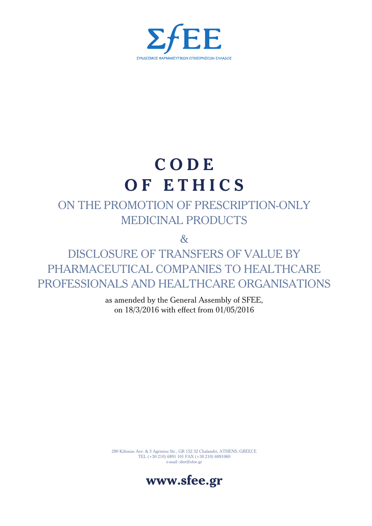

# **C O D E O F E T H I C S**

## ON THE PROMOTION OF PRESCRIPTION-ONLY MEDICINAL PRODUCTS

&

DISCLOSURE OF TRANSFERS OF VALUE BY PHARMACEUTICAL COMPANIES TO HEALTHCARE PROFESSIONALS AND HEALTHCARE ORGANISATIONS

> as amended by the General Assembly of SFEE, on 18/3/2016 with effect from 01/05/2016

280 Kifissias Ave. & 3 Agriniou Str., GR 152 32 Chalandri, ATHENS, GREECE TEL (+30 210) 6891 101 FAX (+30 210) 6891060 e-mail: sfee@sfee.gr

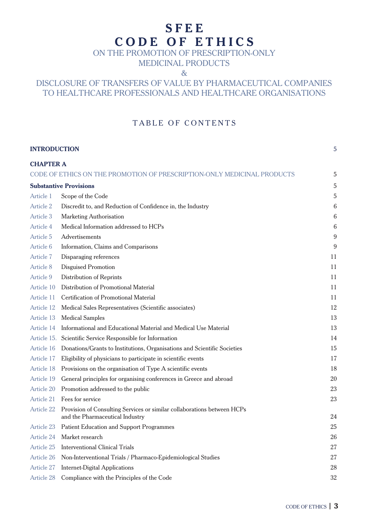## **S F E E C O D E O F E T H I C S**

## ON THE PROMOTION OF PRESCRIPTION-ONLY

MEDICINAL PRODUCTS

&

## DISCLOSURE OF TRANSFERS OF VALUE BY PHARMACEUTICAL COMPANIES TO HEALTHCARE PROFESSIONALS AND HEALTHCARE ORGANISATIONS

## TABLE OF CONTENTS

| 5<br><b>INTRODUCTION</b> |                                                                                                            |                  |
|--------------------------|------------------------------------------------------------------------------------------------------------|------------------|
| <b>CHAPTER A</b>         |                                                                                                            |                  |
|                          | CODE OF ETHICS ON THE PROMOTION OF PRESCRIPTION-ONLY MEDICINAL PRODUCTS                                    | 5                |
|                          | <b>Substantive Provisions</b>                                                                              | 5                |
| Article 1                | Scope of the Code                                                                                          | 5                |
| <b>Article 2</b>         | Discredit to, and Reduction of Confidence in, the Industry                                                 | 6                |
| Article 3                | Marketing Authorisation                                                                                    | 6                |
| Article 4                | Medical Information addressed to HCPs                                                                      | 6                |
| Article 5                | Advertisements                                                                                             | 9                |
| Article 6                | Information, Claims and Comparisons                                                                        | $\boldsymbol{9}$ |
| Article 7                | Disparaging references                                                                                     | 11               |
| Article 8                | <b>Disguised Promotion</b>                                                                                 | 11               |
| Article 9                | Distribution of Reprints                                                                                   | 11               |
| Article 10               | Distribution of Promotional Material                                                                       | 11               |
| Article 11               | <b>Certification of Promotional Material</b>                                                               | 11               |
| Article 12               | Medical Sales Representatives (Scientific associates)                                                      | 12               |
| Article 13               | <b>Medical Samples</b>                                                                                     | 13               |
| Article 14               | Informational and Educational Material and Medical Use Material                                            | 13               |
|                          | Article 15. Scientific Service Responsible for Information                                                 | 14               |
| Article 16               | Donations/Grants to Institutions, Organisations and Scientific Societies                                   | 15               |
| Article 17               | Eligibility of physicians to participate in scientific events                                              | 17               |
| Article 18               | Provisions on the organisation of Type A scientific events                                                 | 18               |
| Article 19               | General principles for organising conferences in Greece and abroad                                         | 20               |
| Article 20               | Promotion addressed to the public                                                                          | 23               |
| Article 21               | Fees for service                                                                                           | 23               |
| Article 22               | Provision of Consulting Services or similar collaborations between HCPs<br>and the Pharmaceutical Industry | 24               |
| Article 23               | <b>Patient Education and Support Programmes</b>                                                            | 25               |
| <b>Article 24</b>        | Market research                                                                                            | 26               |
| Article 25               | <b>Interventional Clinical Trials</b>                                                                      | 27               |
| Article 26               | Non-Interventional Trials / Pharmaco-Epidemiological Studies                                               | 27               |
| Article 27               | <b>Internet-Digital Applications</b>                                                                       | 28               |
| Article 28               | Compliance with the Principles of the Code                                                                 | 32               |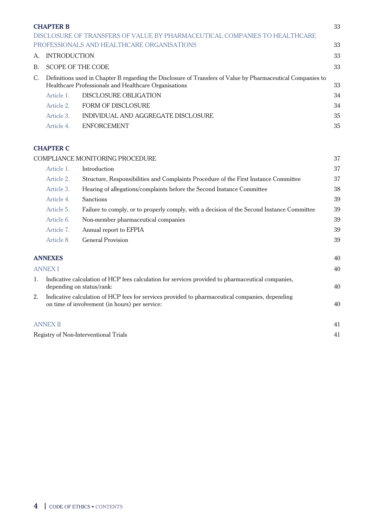|                                                                                                                                                                            | <b>CHAPTER B</b>          |                                                                            | 33 |  |
|----------------------------------------------------------------------------------------------------------------------------------------------------------------------------|---------------------------|----------------------------------------------------------------------------|----|--|
|                                                                                                                                                                            |                           | DISCLOSURE OF TRANSFERS OF VALUE BY PHARMACEUTICAL COMPANIES TO HEALTHCARE |    |  |
|                                                                                                                                                                            |                           | PROFESSIONALS AND HEALTHCARE ORGANISATIONS                                 | 33 |  |
| A.                                                                                                                                                                         | 33<br><b>INTRODUCTION</b> |                                                                            |    |  |
| B.                                                                                                                                                                         | <b>SCOPE OF THE CODE</b>  |                                                                            |    |  |
| Definitions used in Chapter B regarding the Disclosure of Transfers of Value by Pharmaceutical Companies to<br>C.<br>Healthcare Professionals and Healthcare Organisations |                           |                                                                            |    |  |
|                                                                                                                                                                            | Article 1.                | DISCLOSURE OBLIGATION                                                      | 34 |  |
|                                                                                                                                                                            | Article 2.                | <b>FORM OF DISCLOSURE</b>                                                  | 34 |  |
|                                                                                                                                                                            | Article 3.                | INDIVIDUAL AND AGGREGATE DISCLOSURE                                        | 35 |  |
|                                                                                                                                                                            | Article 4.                | <b>ENFORCEMENT</b>                                                         | 35 |  |
|                                                                                                                                                                            |                           |                                                                            |    |  |

## **CHAPTER C**

|    |                                                                                                                                                   | COMPLIANCE MONITORING PROCEDURE                                                                                                | 37 |
|----|---------------------------------------------------------------------------------------------------------------------------------------------------|--------------------------------------------------------------------------------------------------------------------------------|----|
|    | Article 1.                                                                                                                                        | Introduction                                                                                                                   | 37 |
|    | Article 2.                                                                                                                                        | Structure, Responsibilities and Complaints Procedure of the First Instance Committee                                           | 37 |
|    | Article 3.                                                                                                                                        | Hearing of allegations/complaints before the Second Instance Committee                                                         | 38 |
|    | Article 4.                                                                                                                                        | <b>Sanctions</b>                                                                                                               | 39 |
|    | Article 5.                                                                                                                                        | Failure to comply, or to properly comply, with a decision of the Second Instance Committee                                     | 39 |
|    | Article 6.                                                                                                                                        | Non-member pharmaceutical companies                                                                                            | 39 |
|    | Article 7.                                                                                                                                        | Annual report to EFPIA                                                                                                         | 39 |
|    | Article 8.                                                                                                                                        | <b>General Provision</b>                                                                                                       | 39 |
|    | <b>ANNEXES</b>                                                                                                                                    |                                                                                                                                | 40 |
|    | <b>ANNEX I</b>                                                                                                                                    |                                                                                                                                | 40 |
| 1. |                                                                                                                                                   | Indicative calculation of HCP fees calculation for services provided to pharmaceutical companies,<br>depending on status/rank: | 40 |
| 2. | Indicative calculation of HCP fees for services provided to pharmaceutical companies, depending<br>on time of involvement (in hours) per service: |                                                                                                                                |    |
|    | ANNEX II                                                                                                                                          |                                                                                                                                | 41 |
|    |                                                                                                                                                   | <b>Registry of Non-Interventional Trials</b>                                                                                   | 41 |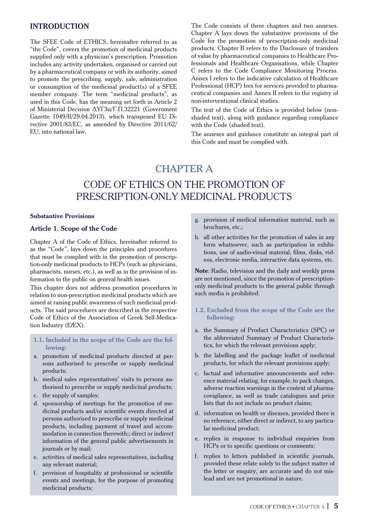## **INTRODUCTION**

The SFEE Code of ETHICS, hereinafter referred to as "the Code", covers the promotion of medicinal products supplied only with a physician's prescription. Promotion includes any activity undertaken, organised or carried out by a pharmaceutical company or with its authority, aimed to promote the prescribing, supply, sale, administration or consumption of the medicinal product(s) of a SFEE member company. The term "medicinal products", as used in this Code, has the meaning set forth in Article 2 of Ministerial Decision ∆ΥΓ3α/Γ.Π.32221 (Government Gazette 1049/Β/29.04.2013), which transposed EU Directive 2001/83/ΕC, as amended by Directive 2011/62/ EU, into national law.

The Code consists of three chapters and two annexes. Chapter A lays down the substantive provisions of the Code for the promotion of prescription-only medicinal products. Chapter B refers to the Disclosure of transfers of value by pharmaceutical companies to Healthcare Professionals and Healthcare Organisations, while Chapter C refers to the Code Compliance Monitoring Process. Annex I refers to the indicative calculation of Healthcare Professional (HCP) fees for services provided to pharmaceutical companies and Annex II refers to the registry of non-interventional clinical studies.

The text of the Code of Ethics is provided below (nonshaded text), along with guidance regarding compliance with the Code (shaded text).

The annexes and guidance constitute an integral part of this Code and must be complied with.

## CHAPTER A

## CODE OF ETHICS ON THE PROMOTION OF PRESCRIPTION-ONLY MEDICINAL PRODUCTS

#### **Substantive Provisions**

## **Article 1. Scope of the Code**

Chapter A of the Code of Ethics, hereinafter referred to as the "Code", lays down the principles and procedures that must be complied with in the promotion of prescription-only medicinal products to HCPs (such as physicians, pharmacists, nurses, etc.), as well as in the provision of information to the public on general health issues.

This chapter does not address promotion procedures in relation to non-prescription medicinal products which are aimed at raising public awareness of such medicinal products. The said procedures are described in the respective Code of Ethics of the Association of Greek Self-Medication Industry (E*f*EX).

- **1.1. Included in the scope of the Code are the following:**
- a. promotion of medicinal products directed at persons authorised to prescribe or supply medicinal products;
- b. medical sales representatives' visits to persons authorised to prescribe or supply medicinal products;
- c. the supply of samples;
- d. sponsorship of meetings for the promotion of medicinal products and/or scientific events directed at persons authorised to prescribe or supply medicinal products, including payment of travel and accommodation in connection therewith;; direct or indirect information of the general public advertisements in journals or by mail;
- e. activities of medical sales representatives, including any relevant material;
- f. provision of hospitality at professional or scientific events and meetings, for the purpose of promoting medicinal products;
- g. provision of medical information material, such as brochures, etc.;
- h. all other activities for the promotion of sales in any form whatsoever, such as participation in exhibitions, use of audio-visual material, films, disks, videos, electronic media, interactive data systems, etc.

**Note**: Radio, television and the daily and weekly press are not mentioned, since the promotion of prescriptiononly medicinal products to the general public through such media is prohibited.

- **1.2. Excluded from the scope of the Code are the following:**
- a. the Summary of Product Characteristics (SPC) or the abbreviated Summary of Product Characteristics, for which the relevant provisions apply;
- b. the labelling and the package leaflet of medicinal products, for which the relevant provisions apply;
- c. factual and informative announcements and reference material relating, for example, to pack changes, adverse reaction warnings in the context of pharmacovigilance, as well as trade catalogues and price lists that do not include no product claims;
- d. information on health or diseases, provided there is no reference, either direct or indirect, to any particular medicinal product;
- e. replies in response to individual enquiries from HCPs or to specific questions or comments;
- f. replies to letters published in scientific journals, provided these relate solely to the subject matter of the letter or enquiry, are accurate and do not mislead and are not promotional in nature.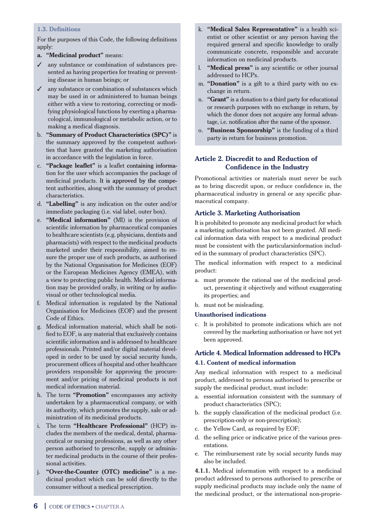### **1.3. Definitions**

For the purposes of this Code, the following definitions apply:

## **a. "Medicinal product"** means:

- ✓ any substance or combination of substances presented as having properties for treating or preventing disease in human beings; or
- $\checkmark$  any substance or combination of substances which may be used in or administered to human beings either with a view to restoring, correcting or modifying physiological functions by exerting a pharmacological, immunological or metabolic action, or to making a medical diagnosis.
- b. **"Summary of Product Characteristics (SPC)"** is the summary approved by the competent authorities that have granted the marketing authorisation in accordance with the legislation in force.
- c. **"Package leaflet"** is a leaflet containing information for the user which accompanies the package of medicinal products. It is approved by the competent authorities, along with the summary of product characteristics.
- d. **"Labelling"** is any indication on the outer and/or immediate packaging (i.e. vial label, outer box).
- e. **"Medical information"** (MI) is the provision of scientific information by pharmaceutical companies to healthcare scientists (e.g. physicians, dentists and pharmacists) with respect to the medicinal products marketed under their responsibility, aimed to ensure the proper use of such products, as authorised by the National Organisation for Medicines (EOF) or the European Medicines Agency (EMEA), with a view to protecting public health. Medical information may be provided orally, in writing or by audiovisual or other technological media.
- f. Medical information is regulated by the National Organisation for Medicines (EOF) and the present Code of Ethics.
- g. Medical information material, which shall be notified to EOF, is any material that exclusively contains scientific information and is addressed to healthcare professionals. Printed and/or digital material developed in order to be used by social security funds, procurement offices of hospital and other healthcare providers responsible for approving the procurement and/or pricing of medicinal products is not medical information material.
- h. The term **"Promotion"** encompasses any activity undertaken by a pharmaceutical company, or with its authority, which promotes the supply, sale or administration of its medicinal products.
- i. The term **"Healthcare Professional"** (HCP) includes the members of the medical, dental, pharmaceutical or nursing professions, as well as any other person authorised to prescribe, supply or administer medicinal products in the course of their professional activities.
- j. **"Over-the-Counter (OTC) medicine"** is a medicinal product which can be sold directly to the consumer without a medical prescription.
- k. **"Medical Sales Representative"** is a health scientist or other scientist or any person having the required general and specific knowledge to orally communicate concrete, responsible and accurate information on medicinal products.
- l. **"Medical press"** is any scientific or other journal addressed to HCPs.
- m. **"Donation"** is a gift to a third party with no exchange in return.
- n. **"Grant"** is a donation to a third party for educational or research purposes with no exchange in return, by which the donor does not acquire any formal advantage, i.e. notification after the name of the sponsor.
- o. **"Business Sponsorship"** is the funding of a third party in return for business promotion.

## **Article 2. Discredit to and Reduction of Confidence in the Industry**

Promotional activities or materials must never be such as to bring discredit upon, or reduce confidence in, the pharmaceutical industry in general or any specific pharmaceutical company.

## **Article 3. Marketing Authorisation**

It is prohibited to promote any medicinal product for which a marketing authorisation has not been granted. All medical information data with respect to a medicinal product must be consistent with the particularsinformation included in the summary of product characteristics (SPC).

The medical information with respect to a medicinal product:

- a. must promote the rational use of the medicinal product, presenting it objectively and without exaggerating its properties; and
- b. must not be misleading.

#### **Unauthorised indications**

c. It is prohibited to promote indications which are not covered by the marketing authorisation or have not yet been approved.

## **Article 4. Medical Information addressed to HCPs**

#### **4.1. Content of medical information**

Any medical information with respect to a medicinal product, addressed to persons authorised to prescribe or supply the medicinal product, must include:

- a. essential information consistent with the summary of product characteristics (SPC);
- b. the supply classification of the medicinal product (i.e. prescription-only or non-prescription);
- c. the Yellow Card, as required by EOF;
- d. the selling price or indicative price of the various presentations.
- e. The reimbursement rate by social security funds may also be included.

**4.1.1.** Medical information with respect to a medicinal product addressed to persons authorised to prescribe or supply medicinal products may include only the name of the medicinal product, or the international non-proprie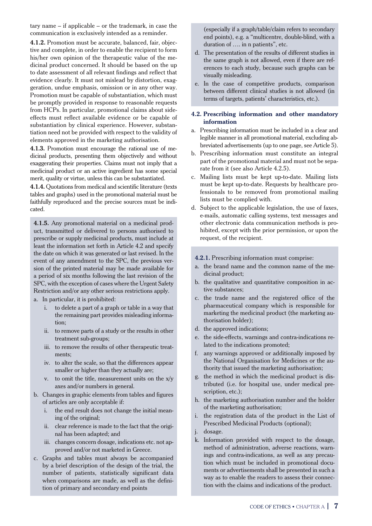tary name – if applicable – or the trademark, in case the communication is exclusively intended as a reminder.

**4.1.2.** Promotion must be accurate, balanced, fair, objective and complete, in order to enable the recipient to form his/her own opinion of the therapeutic value of the medicinal product concerned. It should be based on the up to date assessment of all relevant findings and reflect that evidence clearly. It must not mislead by distortion, exaggeration, undue emphasis, omission or in any other way. Promotion must be capable of substantiation, which must be promptly provided in response to reasonable requests from HCPs. In particular, promotional claims about sideeffects must reflect available evidence or be capable of substantiation by clinical experience. However, substantiation need not be provided with respect to the validity of elements approved in the marketing authorisation.

**4.1.3.** Promotion must encourage the rational use of medicinal products, presenting them objectively and without exaggerating their properties. Claims must not imply that a medicinal product or an active ingredient has some special merit, quality or virtue, unless this can be substantiated.

**4.1.4.** Quotations from medical and scientific literature (texts tables and graphs) used in the promotional material must be faithfully reproduced and the precise sources must be indicated.

**4.1.5.** Any promotional material on a medicinal product, transmitted or delivered to persons authorised to prescribe or supply medicinal products, must include at least the information set forth in Article 4.2 and specify the date on which it was generated or last revised. In the event of any amendment to the SPC, the previous version of the printed material may be made available for a period of six months following the last revision of the SPC, with the exception of cases where the Urgent Safety Restriction and/or any other serious restrictions apply.

- a. In particular, it is prohibited:
	- to delete a part of a graph or table in a way that the remaining part provides misleading information;
	- ii. to remove parts of a study or the results in other treatment sub-groups;
	- iii. to remove the results of other therapeutic treatments;
	- iv. to alter the scale, so that the differences appear smaller or higher than they actually are;
	- v. to omit the title, measurement units on the x/y axes and/or numbers in general.
- b. Changes in graphic elements from tables and figures of articles are only acceptable if:
	- i. the end result does not change the initial meaning of the original;
	- ii. clear reference is made to the fact that the original has been adapted; and
	- iii. changes concern dosage, indications etc. not approved and/or not marketed in Greece.
- c. Graphs and tables must always be accompanied by a brief description of the design of the trial, the number of patients, statistically significant data when comparisons are made, as well as the definition of primary and secondary end points

(especially if a graph/table/claim refers to secondary end points), e.g. a "multicentre, double-blind, with a duration of …. in n patients", etc.

- d. The presentation of the results of different studies in the same graph is not allowed, even if there are references to each study, because such graphs can be visually misleading.
- e. In the case of competitive products, comparison between different clinical studies is not allowed (in terms of targets, patients' characteristics, etc.).

## **4.2. Prescribing information and other mandatory information**

- a. Prescribing information must be included in a clear and legible manner in all promotional material, excluding abbreviated advertisements (up to one page, see Article 5).
- b. Prescribing information must constitute an integral part of the promotional material and must not be separate from it (see also Article 4.2.5).
- c. Mailing lists must be kept up-to-date. Mailing lists must be kept up-to-date. Requests by healthcare professionals to be removed from promotional mailing lists must be complied with.
- d. Subject to the applicable legislation, the use of faxes, e-mails, automatic calling systems, text messages and other electronic data communication methods is prohibited, except with the prior permission, or upon the request, of the recipient.

#### **4.2.1.** Prescribing information must comprise:

- a. the brand name and the common name of the medicinal product;
- b. the qualitative and quantitative composition in active substances;
- c. the trade name and the registered office of the pharmaceutical company which is responsible for marketing the medicinal product (the marketing authorisation holder);
- d. the approved indications;
- e. the side-effects, warnings and contra-indications related to the indications promoted;
- f. any warnings approved or additionally imposed by the National Organisation for Medicines or the authority that issued the marketing authorisation;
- g. the method in which the medicinal product is distributed (i.e. for hospital use, under medical prescription, etc.);
- h. the marketing authorisation number and the holder of the marketing authorisation;
- i. the registration data of the product in the List of Prescribed Medicinal Products (optional);
- j. dosage.
- k. Information provided with respect to the dosage, method of administration, adverse reactions, warnings and contra-indications, as well as any precaution which must be included in promotional documents or advertisements shall be presented in such a way as to enable the readers to assess their connection with the claims and indications of the product.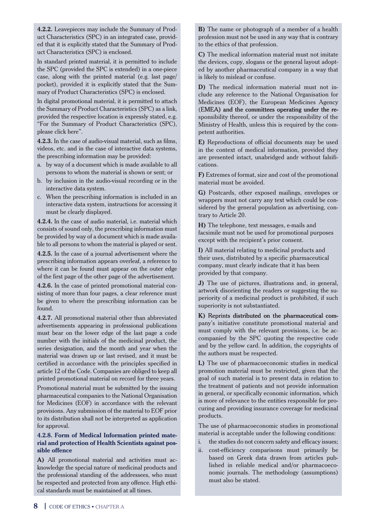**4.2.2.** Leavepieces may include the Summary of Product Characteristics (SPC) in an integrated case, provided that it is explicitly stated that the Summary of Product Characteristics (SPC) is enclosed.

In standard printed material, it is permitted to include the SPC (provided the SPC is extended) in a one-piece case, along with the printed material (e.g. last page/ pocket), provided it is explicitly stated that the Summary of Product Characteristics (SPC) is enclosed.

In digital promotional material, it is permitted to attach the Summary of Product Characteristics (SPC) as a link, provided the respective location is expressly stated, e.g. "For the Summary of Product Characteristics (SPC), please click here".

**4.2.3.** In the case of audio-visual material, such as films, videos, etc. and in the case of interactive data systems, the prescribing information may be provided:

- a. by way of a document which is made available to all persons to whom the material is shown or sent; or
- b. by inclusion in the audio-visual recording or in the interactive data system.
- c. When the prescribing information is included in an interactive data system, instructions for accessing it must be clearly displayed.

**4.2.4.** In the case of audio material, i.e. material which consists of sound only, the prescribing information must be provided by way of a document which is made available to all persons to whom the material is played or sent.

**4.2.5.** In the case of a journal advertisement where the prescribing information appears overleaf, a reference to where it can be found must appear on the outer edge of the first page of the other page of the advertisement.

**4.2.6.** In the case of printed promotional material consisting of more than four pages, a clear reference must be given to where the prescribing information can be found.

**4.2.7.** All promotional material other than abbreviated advertisements appearing in professional publications must bear on the lower edge of the last page a code number with the initials of the medicinal product, the series designation, and the month and year when the material was drawn up or last revised, and it must be certified in accordance with the principles specified in article 12 of the Code. Companies are obliged to keep all printed promotional material on record for three years.

Promotional material must be submitted by the issuing pharmaceutical companies to the National Organisation for Medicines (EOF) in accordance with the relevant provisions. Any submission of the material to EOF prior to its distribution shall not be interpreted as application for approval.

#### **4.2.8. Form of Medical Information printed material and protection of Health Scientists against possible offence**

**A)** All promotional material and activities must acknowledge the special nature of medicinal products and the professional standing of the addressees, who must be respected and protected from any offence. High ethical standards must be maintained at all times.

**B)** The name or photograph of a member of a health profession must not be used in any way that is contrary to the ethics of that profession.

**C)** The medical information material must not imitate the devices, copy, slogans or the general layout adopted by another pharmaceutical company in a way that is likely to mislead or confuse.

**D)** The medical information material must not include any reference to the National Organisation for Medicines (EOF), the European Medicines Agency (EMEA) and the committees operating under the responsibility thereof, or under the responsibility of the Ministry of Health, unless this is required by the competent authorities.

**E)** Reproductions of official documents may be used in the context of medical information, provided they are presented intact, unabridged andr without falsifications.

**F)** Extremes of format, size and cost of the promotional material must be avoided.

**G)** Postcards, other exposed mailings, envelopes or wrappers must not carry any text which could be considered by the general population as advertising, contrary to Article 20.

**H)** The telephone, text messages, e-mails and facsimile must not be used for promotional purposes except with the recipient's prior consent.

**I)** All material relating to medicinal products and their uses, distributed by a specific pharmaceutical company, must clearly indicate that it has been provided by that company.

**J)** The use of pictures, illustrations and, in general, artwork disorienting the readers or suggesting the superiority of a medicinal product is prohibited, if such superiority is not substantiated.

**K)** Reprints distributed on the pharmaceutical company's initiative constitute promotional material and must comply with the relevant provisions, i.e. be accompanied by the SPC quoting the respective code and by the yellow card. In addition, the copyrights of the authors must be respected.

**L)** The use of pharmacoeconomic studies in medical promotion material must be restricted, given that the goal of such material is to present data in relation to the treatment of patients and not provide information in general, or specifically economic information, which is more of relevance to the entities responsible for procuring and providing insurance coverage for medicinal products.

The use of pharmacoeconomic studies in promotional material is acceptable under the following conditions:

- i. the studies do not concern safety and efficacy issues;
- ii. cost-efficiency comparisons must primarily be based on Greek data drawn from articles published in reliable medical and/or pharmacoeconomic journals. The methodology (assumptions) must also be stated.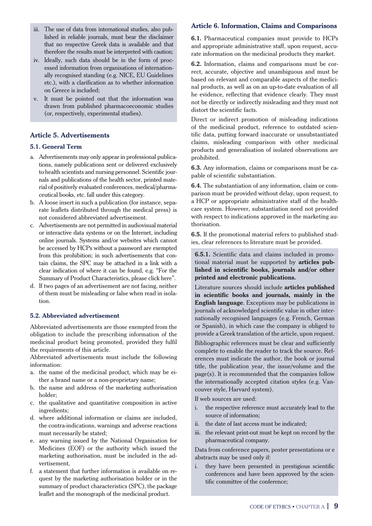- iii. The use of data from international studies, also published in reliable journals, must bear the disclaimer that no respective Greek data is available and that therefore the results must be interpreted with caution;
- iv. Ideally, such data should be in the form of processed information from organisations of internationally recognised standing (e.g. NICE, EU Guidelines etc.), with a clarification as to whether information on Greece is included;
- v. It must be pointed out that the information was drawn from published pharmacoeconomic studies (or, respectively, experimental studies).

## **Article 5. Advertisements**

#### **5.1. General Term**

- a. Advertisements may only appear in professional publications, namely publications sent or delivered exclusively to health scientists and nursing personnel. Scientific journals and publications of the health sector, printed material of positively evaluated conferences, medical/pharmaceutical books, etc. fall under this category.
- b. A loose insert in such a publication (for instance, separate leaflets distributed through the medical press) is not considered abbreviated advertisement.
- c. Advertisements are not permitted in audiovisual material or interactive data systems or on the Internet, including online journals. Systems and/or websites which cannot be accessed by HCPs without a password are exempted from this prohibition; in such advertisements that contain claims, the SPC may be attached in a link with a clear indication of where it can be found, e.g. "For the Summary of Product Characteristics, please click here".
- d. If two pages of an advertisement are not facing, neither of them must be misleading or false when read in isolation.

#### **5.2. Abbreviated advertisement**

Abbreviated advertisements are those exempted from the obligation to include the prescribing information of the medicinal product being promoted, provided they fulfil the requirements of this article.

Abbreviated advertisements must include the following information:

- a. the name of the medicinal product, which may be either a brand name or a non-proprietary name;
- b. the name and address of the marketing authorisation holder;
- c. the qualitative and quantitative composition in active ingredients;
- d. where additional information or claims are included, the contra-indications, warnings and adverse reactions must necessarily be stated;
- e. any warning issued by the National Organisation for Medicines (EOF) or the authority which issued the marketing authorisation, must be included in the advertisement,
- f. a statement that further information is available on request by the marketing authorisation holder or in the summary of product characteristics (SPC), the package leaflet and the monograph of the medicinal product.

## **Article 6. Information, Claims and Comparisons**

**6.1.** Pharmaceutical companies must provide to HCPs and appropriate administrative staff, upon request, accurate information on the medicinal products they market.

**6.2.** Information, claims and comparisons must be correct, accurate, objective and unambiguous and must be based on relevant and comparable aspects of the medicinal products, as well as on an up-to-date evaluation of all he evidence, reflecting that evidence clearly. They must not be directly or indirectly misleading and they must not distort the scientific facts.

Direct or indirect promotion of misleading indications of the medicinal product, reference to outdated scientific data, putting forward inaccurate or unsubstantiated claims, misleading comparison with other medicinal products and generalisation of isolated observations are prohibited.

**6.3.** Any information, claims or comparisons must be capable of scientific substantiation.

**6.4.** The substantiation of any information, claim or comparison must be provided without delay, upon request, to a HCP or appropriate administrative staff of the healthcare system. However, substantiation need not provided with respect to indications approved in the marketing authorisation.

**6.5.** If the promotional material refers to published studies, clear references to literature must be provided.

**6.5.1.** Scientific data and claims included in promotional material must be supported by **articles published in scientific books, journals and/or other printed and electronic publications.** 

Literature sources should include **articles published in scientific books and journals, mainly in the English language**. Exceptions may be publications in journals of acknowledged scientific value in other internationally recognised languages (e.g. French, German or Spanish), in which case the company is obliged to provide a Greek translation of the article, upon request.

Bibliographic references must be clear and sufficiently complete to enable the reader to track the source. References must indicate the author, the book or journal title, the publication year, the issue/volume and the page(s). It is recommended that the companies follow the internationally accepted citation styles (e.g. Vancouver style, Harvard system).

If web sources are used:

- i. the respective reference must accurately lead to the source of information;
- ii. the date of last access must be indicated;
- iii. the relevant print-out must be kept on record by the pharmaceutical company.

Data from conference papers, poster presentations or e abstracts may be used only if:

i. they have been presented in prestigious scientific conferences and have been approved by the scientific committee of the conference;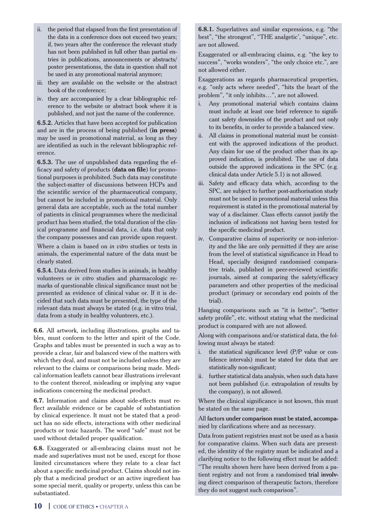- ii. the period that elapsed from the first presentation of the data in a conference does not exceed two years; if, two years after the conference the relevant study has not been published in full other than partial entries in publications, announcements or abstracts/ poster presentationss, the data in question shall not be used in any promotional material anymore;
- iii. they are available on the website or the abstract book of the conference;
- iv. they are accompanied by a clear bibliographic reference to the website or abstract book where it is published, and not just the name of the conference.

**6.5.2.** Articles that have been accepted for publication and are in the process of being published (**in press**) may be used in promotional material, as long as they are identified as such in the relevant bibliographic reference.

**6.5.3.** The use of unpublished data regarding the efficacy and safety of products (**data on file**) for promotional purposes is prohibited. Such data may constitute the subject-matter of discussions between HCPs and the scientific service of the pharmaceutical company, but cannot be included in promotional material. Only general data are acceptable, such as the total number of patients in clinical programmes where the medicinal product has been studied, the total duration of the clinical programme and financial data, i.e. data that only the company possesses and can provide upon request. Where a claim is based on *in vitro* studies or tests in

animals, the experimental nature of the data must be clearly stated.

**6.5.4.** Data derived from studies in animals, in healthy volunteers or *in vitro* studies and pharmacologic remarks of questionable clinical significance must not be presented as evidence of clinical value or. If it is decided that such data must be presented, the type of the relevant data must always be stated (e.g. in vitro trial, data from a study in healthy volunteers, etc.).

**6.6.** All artwork, including illustrations, graphs and tables, must conform to the letter and spirit of the Code. Graphs and tables must be presented in such a way as to provide a clear, fair and balanced view of the matters with which they deal, and must not be included unless they are relevant to the claims or comparisons being made. Medical information leaflets cannot bear illustrations irrelevant to the content thereof, misleading or implying any vague indications concerning the medicinal product.

**6.7.** Information and claims about side-effects must reflect available evidence or be capable of substantiation by clinical experience. It must not be stated that a product has no side effects, interactions with other medicinal products or toxic hazards. The word "safe" must not be used without detailed proper qualification.

**6.8.** Exaggerated or all-embracing claims must not be made and superlatives must not be used, except for those limited circumstances where they relate to a clear fact about a specific medicinal product. Claims should not imply that a medicinal product or an active ingredient has some special merit, quality or property, unless this can be substantiated.

**6.8.1.** Superlatives and similar expressions, e.g. "the best", "the strongest", "THE analgetic', "unique", etc. are not allowed.

Exaggerated or all-embracing claims, e.g. "the key to success", "works wonders", "the only choice etc.", are not allowed either.

Exaggerations as regards pharmaceutical properties, e.g. "only acts where needed", "hits the heart of the problem", "it only inhibits…", are not allowed.

- i. Any promotional material which contains claims must include at least one brief reference to significant safety downsides of the product and not only to its benefits, in order to provide a balanced view.
- ii. All claims in promotional material must be consistent with the approved indications of the product. Any claim for use of the product other than its approved indication, is prohibited. The use of data outside the approved indications in the SPC (e.g. clinical data under Article 5.1) is not allowed.
- iii. Safety and efficacy data which, according to the SPC, are subject to further post-authorisation study must not be used in promotional material unless this requirement is stated in the promotional material by way of a disclaimer. Class effects cannot justify the inclusion of indications not having been tested for the specific medicinal product.
- iv. Comparative claims of superiority or non-inferiority and the like are only permitted if they are arise from the level of statistical significance in Head to Head, specially designed randomised comparative trials, published in peer-reviewed scientific journals, aimed at comparing the safety/efficacy parameters and other properties of the medicinal product (primary or secondary end points of the trial).

Hanging comparisons such as "it is better", "better safety profile", etc. without stating what the medicinal product is compared with are not allowed.

Along with comparisons and/or statistical data, the following must always be stated:

- i. the statistical significance level (P/P value or confidence intervals) must be stated for data that are statistically non-significant;
- ii. further statistical data analysis, when such data have not been published (i.e. extrapolation of results by the company), is not allowed.

Where the clinical significance is not known, this must be stated on the same page.

#### All factors under comparison must be stated, accompanied by clarifications where and as necessary.

Data from patient registries must not be used as a basis for comparative claims. When such data are presented, the identity of the registry must be indicated and a clarifying notice to the following effect must be added: "The results shown here have been derived from a patient registry and not from a randomised trial involving direct comparison of therapeutic factors, therefore they do not suggest such comparison".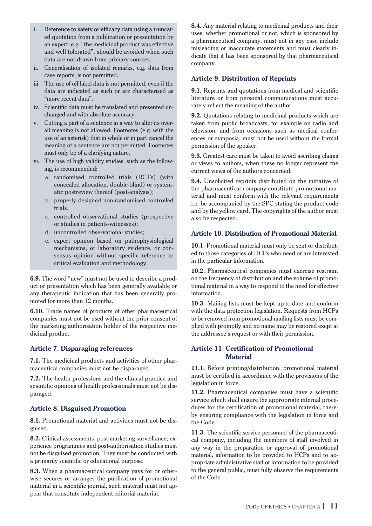- i. Reference to safety or efficacy data using a truncated quotation from a publication or presentation by an expert, e.g. "the medicinal product was effective and well tolerated", should be avoided when such data are not drawn from primary sources.
- ii. Generalisation of isolated remarks, e.g. data from case reports, is not permitted.
- iii. The use of off label data is not permitted, even if the data are indicated as such or are characterised as "more recent data".
- iv. Scientific data must be translated and presented unchanged and with absolute accuracy.
- v. Cutting a part of a sentence in a way to alter its overall meaning is not allowed. Footnotes (e.g. with the use of an asterisk) that in whole or in part cancel the meaning of a sentence are not permitted. Footnotes must only be of a clarifying nature.
- vi. The use of high validity studies, such as the following, is recommended:
	- a. randomised controlled trials (RCTs) (with concealed allocation, double-blind) or systematic postreview thereof (post-analysis);
	- b. properly designed non-randomised controlled trials.
	- c. controlled observational studies (prospective or studies in patients-witnesses);
	- d. uncontrolled observational studies;
	- e. expert opinion based on pathophysiological mechanisms, or laboratory evidence, or consensus opinion without specific reference to critical evaluation and methodology.

**6.9.** The word "new" must not be used to describe a product or presentation which has been generally available or any therapeutic indication that has been generally promoted for more than 12 months.

**6.10.** Trade names of products of other pharmaceutical companies must not be used without the prior consent of the marketing authorisation holder of the respective medicinal product.

## **Article 7. Disparaging references**

**7.1.** The medicinal products and activities of other pharmaceutical companies must not be disparaged.

**7.2.** The health professions and the clinical practice and scientific opinions of health professionals must not be disparaged.

## **Article 8. Disguised Promotion**

**8.1.** Promotional material and activities must not be disguised.

**8.2.** Clinical assessments, post-marketing surveillance, experience programmes and post-authorisation studies must not be disguised promotion. They must be conducted with a primarily scientific or educational purpose.

**8.3.** When a pharmaceutical company pays for or otherwise secures or arranges the publication of promotional material in a scientific journal, such material must not appear that constitute independent editorial material.

**8.4.** Any material relating to medicinal products and their uses, whether promotional or not, which is sponsored by a pharmaceutical company, must not in any case include misleading or inaccurate statements and must clearly indicate that it has been sponsored by that pharmaceutical company.

#### **Article 9. Distribution of Reprints**

**9.1.** Reprints and quotations from medical and scientific literature or from personal communications must accurately reflect the meaning of the author.

**9.2.** Ouotations relating to medicinal products which are taken from public broadcasts, for example on radio and television, and from occasions such as medical conferences or symposia, must not be used without the formal permission of the speaker.

**9.3.** Greatest care must be taken to avoid ascribing claims or views to authors, when these no longer represent the current views of the authors concerned.

**9.4.** Unsolicited reprints distributed on the initiative of the pharmaceutical company constitute promotional material and must conform with the relevant requirements i.e. be accompanied by the SPC stating the product code and by the yellow card. The copyrights of the author must also be respected.

## **Article 10. Distribution of Promotional Material**

**10.1.** Promotional material must only be sent or distributed to those categories of HCPs who need or are interested in the particular information.

**10.2.** Pharmaceutical companies must exercise restraint on the frequency of distribution and the volume of promotional material in a way to respond to the need for effective information.

**10.3.** Mailing lists must be kept up-to-date and conform with the data protection legislation. Requests from HCPs to be removed from promotional mailing lists must be complied with promptly and no name may be restored exept at the addressee's request or with their permission.

## **Article 11. Certification of Promotional Material**

**11.1.** Before printing/distribution, promotional material must be certified in accordance with the provisions of the legislation in force.

**11.2.** Pharmaceutical companies must have a scientific service which shall ensure the appropriate internal procedures for the certification of promotional material, thereby ensuring compliance with the legislation in force and the Code.

**11.3.** The scientific service personnel of the pharmaceutical company, including the members of staff involved in any way in the preparation or approval of promotional material, information to be provided to HCPs and to appropriate administrative staff or information to be provided to the general public, must fully observe the requirements of the Code.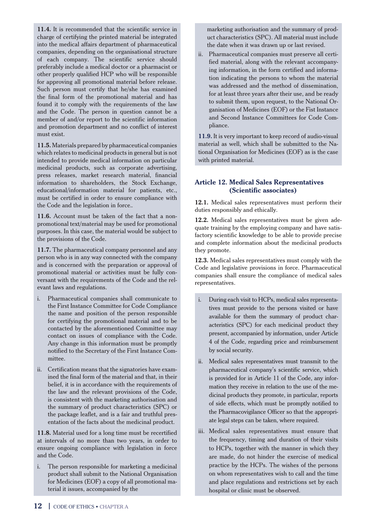**11.4.** It is recommended that the scientific service in charge of certifying the printed material be integrated into the medical affairs department of pharmaceutical companies, depending on the organisational structure of each company. The scientific service should preferably include a medical doctor or a pharmacist or other properly qualified HCP who will be responsible for approving all promotional material before release. Such person must certify that he/she has examined the final form of the promotional material and has found it to comply with the requirements of the law and the Code. The person in question cannot be a member of and/or report to the scientific information and promotion department and no conflict of interest must exist.

**11.5.** Materials prepared by pharmaceutical companies which relates to medicinal products in general but is not intended to provide medical information on particular medicinal products, such as corporate advertising, press releases, market research material, financial information to shareholders, the Stock Exchange, educational/information material for patients, etc., must be certified in order to ensure compliance with the Code and the legislation in force.*.*

**11.6.** Account must be taken of the fact that a nonpromotional text/material may be used for promotional purposes. In this case, the material would be subject to the provisions of the Code.

**11.7.** The pharmaceutical company personnel and any person who is in any way connected with the company and is concerned with the preparation or approval of promotional material or activities must be fully conversant with the requirements of the Code and the relevant laws and regulations.

- i. Pharmaceutical companies shall communicate to the First Instance Committee for Code Compliance the name and position of the person responsible for certifying the promotional material and to be contacted by the aforementioned Committee may contact on issues of compliance with the Code. Any change in this information must be promptly notified to the Secretary of the First Instance Committee.
- ii. Certification means that the signatories have examined the final form of the material and that, in their belief, it is in accordance with the requirements of the law and the relevant provisions of the Code, is consistent with the marketing authorisation and the summary of product characteristics (SPC) or the package leaflet, and is a fair and truthful presentation of the facts about the medicinal product.

**11.8.** Material used for a long time must be recertified at intervals of no more than two years, in order to ensure ongoing compliance with legislation in force and the Code.

i. The person responsible for marketing a medicinal product shall submit to the National Organisation for Medicines (EOF) a copy of all promotional material it issues, accompanied by the

 marketing authorisation and the summary of product characteristics (SPC). All material must include the date when it was drawn up or last revised.

ii. Pharmaceutical companies must preserve all certified material, along with the relevant accompanying information, in the form certified and information indicating the persons to whom the material was addressed and the method of dissemination, for at least three years after their use, and be ready to submit them, upon request, to the National Organisation of Medicines (EOF) or the Fist Instance and Second Instance Committees for Code Compliance.

**11.9.** It is very important to keep record of audio-visual material as well, which shall be submitted to the National Organisation for Medicines (EOF) as is the case with printed material.

## **Article 12. Medical Sales Representatives (Scientific associates)**

**12.1.** Medical sales representatives must perform their duties responsibly and ethically.

**12.2.** Medical sales representatives must be given adequate training by the employing company and have satisfactory scientific knowledge to be able to provide precise and complete information about the medicinal products they promote.

**12.3.** Medical sales representatives must comply with the Code and legislative provisions in force. Pharmaceutical companies shall ensure the compliance of medical sales representatives.

- i. During each visit to HCPs, medical sales representatives must provide to the persons visited or have available for them the summary of product characteristics (SPC) for each medicinal product they present, accompanied by information, under Article 4 of the Code, regarding price and reimbursement by social security.
- ii. Medical sales representatives must transmit to the pharmaceutical company's scientific service, which is provided for in Article 11 of the Code, any information they receive in relation to the use of the medicinal products they promote, in particular, reports of side effects, which must be promptly notified to the Pharmacovigilance Officer so that the appropriate legal steps can be taken, where required.
- iii. Medical sales representatives must ensure that the frequency, timing and duration of their visits to HCPs, together with the manner in which they are made, do not hinder the exercise of medical practice by the HCPs. The wishes of the persons on whom representatives wish to call and the time and place regulations and restrictions set by each hospital or clinic must be observed.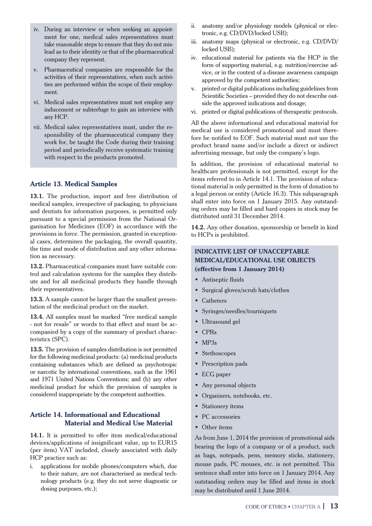- iv. During an interview or when seeking an appointment for one, medical sales representatives must take reasonable steps to ensure that they do not mislead as to their identity or that of the pharmaceutical company they represent.
- v. Pharmaceutical companies are responsible for the activities of their representatives, when such activities are performed within the scope of their employment.
- vi. Medical sales representatives must not employ any inducement or subterfuge to gain an interview with any HCP.
- vii. Medical sales representatives must, under the responsibility of the pharmaceutical company they work for, be taught the Code during their training period and periodically receive systematic training with respect to the products promoted.

#### **Article 13. Medical Samples**

**13.1.** The production, import and free distribution of medical samples, irrespective of packaging, to physicians and dentists for information purposes, is permitted only pursuant to a special permission from the National Organisation for Medicines (EOF) in accordance with the provisions in force. The permission, granted in exceptional cases, determines the packaging, the overall quantity, the time and mode of distribution and any other information as necessary.

**13.2.** Pharmaceutical companies must have suitable control and calculation systems for the samples they distribute and for all medicinal products they handle through their representatives.

**13.3.** A sample cannot be larger than the smallest presentation of the medicinal product on the market.

**13.4.** All samples must be marked "free medical sample - not for resale" or words to that effect and must be accompanied by a copy of the summary of product characteristics (SPC).

**13.5.** The provision of samples distribution is not permitted for the following medicinal products: (a) medicinal products containing substances which are defined as psychotropic or narcotic by international conventions, such as the 1961 and 1971 United Nations Conventions; and (b) any other medicinal product for which the provision of samples is considered inappropriate by the competent authorities.

#### **Article 14. Informational and Educational Material and Medical Use Material**

**14.1.** It is permitted to offer item medical/educational devices/applications of insignificant value, up to EUR15 (per item) VAT included, closely associated with daily HCP practice such as:

i. applications for mobile phones/computers which, due to their nature, are not characterised as medical technology products (e.g. they do not serve diagnostic or dosing purposes, etc.);

- ii. anatomy and/or physiology models (physical or electronic, e.g. CD/DVD/locked USB);
- iii. anatomy maps (physical or electronic, e.g. CD/DVD/ locked USB);
- iv. educational material for patients via the HCP in the form of supporting material, e.g. nutrition/exercise advice, or in the context of a disease awareness campaign approved by the competent authorities;
- v. printed or digital publications including guidelines from Scientific Societies – provided they do not describe outside the approved indications and dosage;
- vi. printed or digital publications of therapeutic protocols.

All the above informational and educational material for medical use is considered promotional and must therefore be notified to EOF. Such material must not use the product brand name and/or include a direct or indirect advertising message, but only the company's logo.

In addition, the provision of educational material to healthcare professionals is not permitted, except for the items referred to in Article 14.1. The provision of educational material is only permitted in the form of donation to a legal person or entity (Article 16.3). This subparagraph shall enter into force on 1 January 2015. Any outstanding orders may be filled and hard copies in stock may be distributed until 31 December 2014.

**14.2.** Any other donation, sponsorship or benefit in kind to HCPs is prohibited.

## **INDICATIVE LIST OF UNACCEPTABLE MEDICAL/EDUCATIONAL USE OBJECTS (effective from 1 January 2014)**

- Þ Antiseptic fluids
- Þ Surgical gloves/scrub hats/clothes
- Þ Catheters
- Þ Syringes/needles/tourniquets
- Þ Ultrasound gel
- Þ CPRs
- $-MP3s$
- Stethoscopes
- Prescription pads
- Þ ECG paper
- Any personal objects
- Þ Organisers, notebooks, etc.
- Stationery items
- PC accessories
- Other items

As from June 1, 2014 the provision of promotional aids bearing the logo of a company or of a product, such as bags, notepads, pens, memory sticks, stationery, mouse pads, PC mouses, etc. is not permitted. This sentence shall enter into force on 1 January 2014. Any outstanding orders may be filled and items in stock may be distributed until 1 June 2014.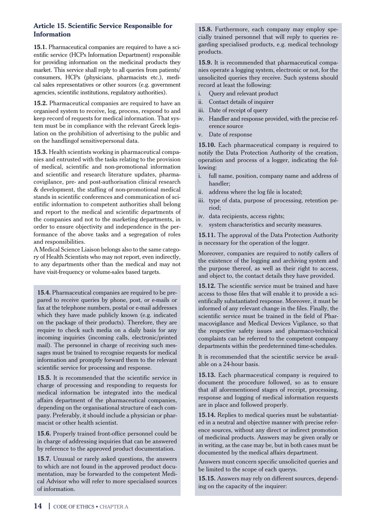## **Article 15. Scientific Service Responsible for Information**

**15.1.** Pharmaceutical companies are required to have a scientific service (HCPs Information Department) responsible for providing information on the medicinal products they market. This service shall reply to all queries from patients/ consumers, HCPs (physicians, pharmacists etc.), medical sales representatives or other sources (e.g. government agencies, scientific institutions, regulatory authorities).

**15.2.** Pharmaceutical companies are required to have an organised system to receive, log, process, respond to and keep record of requests for medical information. That system must be in compliance with the relevant Greek legislation on the prohibition of advertising to the public and on the handlingof sensitivepersonal data.

**15.3.** Health scientists working in pharmaceutical companies and entrusted with the tasks relating to the provision of medical, scientific and non-promotional information and scientific and research literature updates, pharmacovigilance, pre- and post-authorisation clinical research & development, the staffing of non-promotional medical stands in scientific conferences and communication of scientific information to competent authorities shall belong and report to the medical and scientific departments of the companies and not to the marketing departments, in order to ensure objectivity and independence in the performance of the above tasks and a segregation of roles and responsibilities.

A Medical Science Liaison belongs also to the same category of Health Scientists who may not report, even indirectly, to any departments other than the medical and may not have visit-frequency or volume-sales based targets.

**15.4.** Pharmaceutical companies are required to be prepared to receive queries by phone, post, or e-mails or fax at the telephone numbers, postal or e-mail addresses which they have made publicly known (e.g. indicated on the package of their products). Therefore, they are require to check such media on a daily basis for any incoming inquiries (incoming calls, electronic/printed mail). The personnel in charge of receiving such messages must be trained to recognise requests for medical information and promptly forward them to the relevant scientific service for processing and response.

**15.5.** It is recommended that the scientific service in charge of processing and responding to requests for medical information be integrated into the medical affairs department of the pharmaceutical companies, depending on the organisational structure of each company. Preferably, it should include a physician or pharmacist or other health scientist.

**15.6.** Properly trained front-office personnel could be in charge of addressing inquiries that can be answered by reference to the approved product documentation.

**15.7.** Unusual or rarely asked questions, the answers to which are not found in the approved product documentation, may be forwarded to the competent Medical Advisor who will refer to more specialised sources of information.

**15.8.** Furthermore, each company may employ specially trained personnel that will reply to queries regarding specialised products, e.g. medical technology products.

**15.9.** It is recommended that pharmaceutical companies operate a logging system, electronic or not, for the unsolicited queries they receive. Such systems should record at least the following:

- i. Query and relevant product
- ii. Contact details of inquirer
- iii. Date of receipt of query
- iv. Handler and response provided, with the precise reference source
- v. Date of response

**15.10.** Each pharmaceutical company is required to notify the Data Protection Authority of the creation, operation and process of a logger, indicating the following:

- i. full name, position, company name and address of handler;
- ii. address where the log file is located;
- iii. type of data, purpose of processing, retention period;
- iv. data recipients, access rights;
- v. system characteristics and security measures.

**15.11.** The approval of the Data Protection Authority is necessary for the operation of the logger.

Moreover, companies are required to notify callers of the existence of the logging and archiving system and the purpose thereof, as well as their right to access, and object to, the contact details they have provided.

**15.12.** The scientific service must be trained and have access to those files that will enable it to provide a scientifically substantiated response. Moreover, it must be informed of any relevant change in the files. Finally, the scientific service must be trained in the field of Pharmacovigilance and Medical Devices Vigilance, so that the respective safety issues and pharmaco-technical complaints can be referred to the competent company departments within the predetermined time-schedules.

It is recommended that the scientific service be available on a 24-hour basis.

**15.13.** Each pharmaceutical company is required to document the procedure followed, so as to ensure that all aforementioned stages of receipt, processing, response and logging of medical information requests are in place and followed properly.

**15.14.** Replies to medical queries must be substantiated in a neutral and objective manner with precise reference sources, without any direct or indirect promotion of medicinal products. Answers may be given orally or in writing, as the case may be, but in both cases must be documented by the medical affairs department.

Answers must concern specific unsolicited queries and be limited to the scope of each querys.

**15.15.** Answers may rely on different sources, depending on the capacity of the inquirer: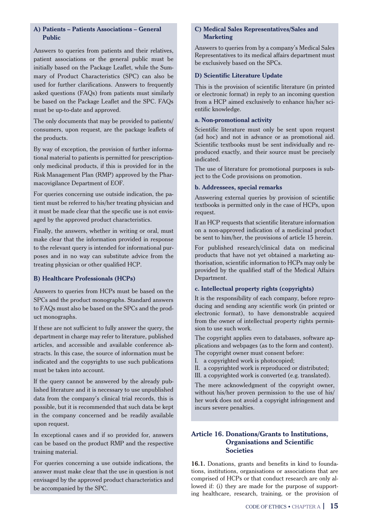## **A) Patients – Patients Associations – General Public**

Answers to queries from patients and their relatives, patient associations or the general public must be initially based on the Package Leaflet, while the Summary of Product Characteristics (SPC) can also be used for further clarifications. Answers to frequently asked questions (FAQs) from patients must similarly be based on the Package Leaflet and the SPC. FAQs must be up-to-date and approved.

The only documents that may be provided to patients/ consumers, upon request, are the package leaflets of the products.

By way of exception, the provision of further informational material to patients is permitted for prescriptiononly medicinal products, if this is provided for in the Risk Management Plan (RMP) approved by the Pharmacovigilance Department of EOF.

For queries concerning use outside indication, the patient must be referred to his/her treating physician and it must be made clear that the specific use is not envisaged by the approved product characteristics.

Finally, the answers, whether in writing or oral, must make clear that the information provided in response to the relevant query is intended for informational purposes and in no way can substitute advice from the treating physician or other qualified HCP.

## **B) Healthcare Professionals (HCPs)**

Answers to queries from HCPs must be based on the SPCs and the product monographs. Standard answers to FAQs must also be based on the SPCs and the product monographs.

If these are not sufficient to fully answer the query, the department in charge may refer to literature, published articles, and accessible and available conference abstracts. In this case, the source of information must be indicated and the copyrights to use such publications must be taken into account.

If the query cannot be answered by the already published literature and it is necessary to use unpublished data from the company's clinical trial records, this is possible, but it is recommended that such data be kept in the company concerned and be readily available upon request.

In exceptional cases and if so provided for, answers can be based on the product RMP and the respective training material.

For queries concerning a use outside indications, the answer must make clear that the use in question is not envisaged by the approved product characteristics and be accompanied by the SPC.

#### **C) Medical Sales Representatives/Sales and Marketing**

Answers to queries from by a company's Medical Sales Representatives to its medical affairs department must be exclusively based on the SPCs.

#### **D) Scientific Literature Update**

This is the provision of scientific literature (in printed or electronic format) in reply to an incoming question from a HCP aimed exclusively to enhance his/her scientific knowledge.

#### **a. Non-promotional activity**

Scientific literature must only be sent upon request (ad hoc) and not in advance or as promotional aid. Scientific textbooks must be sent individually and reproduced exactly, and their source must be precisely indicated.

The use of literature for promotional purposes is subject to the Code provisions on promotion.

#### **b. Addressees, special remarks**

Answering external queries by provision of scientific textbooks is permitted only in the case of HCPs, upon request.

If an HCP requests that scientific literature information on a non-approved indication of a medicinal product be sent to him/her, the provisions of article 15 herein.

For published research/clinical data on medicinal products that have not yet obtained a marketing authorisation, scientific information to HCPs may only be provided by the qualified staff of the Medical Affairs Department.

#### **c. Intellectual property rights (copyrights)**

It is the responsibility of each company, before reproducing and sending any scientific work (in printed or electronic format), to have demonstrable acquired from the owner of intellectual property rights permission to use such work.

The copyright applies even to databases, software applications and webpages (as to the form and content). The copyright owner must consent before:

I. a copyrighted work is photocopied;

II. a copyrighted work is reproduced or distributed;

III. a copyrighted work is converted (e.g. translated).

The mere acknowledgment of the copyright owner, without his/her proven permission to the use of his/ her work does not avoid a copyright infringement and incurs severe penalties.

## **Article 16. Donations/Grants to Institutions, Organisations and Scientific Societies**

**16.1.** Donations, grants and benefits in kind to foundations, institutions, organisations or associations that are comprised of HCPs or that conduct research are only allowed if: (i) they are made for the purpose of supporting healthcare, research, training, or the provision of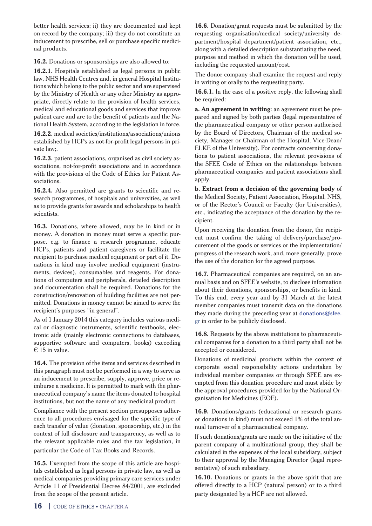better health services; ii) they are documented and kept on record by the company; iii) they do not constitute an inducement to prescribe, sell or purchase specific medicinal products.

**16.2.** Donations or sponsorships are also allowed to:

**16.2.1.** Hospitals established as legal persons in public law, NHS Health Centres and, in general Hospital Institutions which belong to the public sector and are supervised by the Ministry of Health or any other Ministry as appropriate, directly relate to the provision of health services, medical and educational goods and services that improve patient care and are to the benefit of patients and the National Health System, according to the legislation in force.

**16.2.2.** medical societies/institutions/associations/unions established by HCPs as not-for-profit legal persons in private law;.

**16.2.3.** patient associations, organised as civil society associations, not-for-profit associations and in accordance with the provisions of the Code of Ethics for Patient Associations.

**16.2.4.** Also permitted are grants to scientific and research programmes, of hospitals and universities, as well as to provide grants for awards and scholarships to health scientists.

**16.3.** Donations, where allowed, may be in kind or in money. A donation in money must serve a specific purpose. e.g. to finance a research programme, educate HCPs, patients and patient caregivers or facilitate the recipient to purchase medical equipment or part of it. Donations in kind may involve medical equipment (instruments, devices), consumables and reagents. For donations of computers and peripherals, detailed description and documentation shall be required. Donations for the construction/renovation of building facilities are not permitted. Donations in money cannot be aimed to serve the recipient's purposes "in general".

As of 1 January 2014 this category includes various medical or diagnostic instruments, scientific textbooks, electronic aids (mainly electronic connections to databases, supportive software and computers, books) exceeding  $\epsilon$  15 in value.

**16.4.** The provision of the items and services described in this paragraph must not be performed in a way to serve as an inducement to prescribe, supply, approve, price or reimburse a medicine. It is permitted to mark with the pharmaceutical company's name the items donated to hospital institutions, but not the name of any medicinal product.

Compliance with the present section presupposes adherence to all procedures envisaged for the specific type of each transfer of value (donation, sponsorship, etc.) in the context of full disclosure and transparency, as well as to the relevant applicable rules and the tax legislation, in particular the Code of Tax Books and Records.

**16.5.** Exempted from the scope of this article are hospitals established as legal persons in private law, as well as medical companies providing primary care services under Article 11 of Presidential Decree 84/2001, are excluded from the scope of the present article.

**16.6.** Donation/grant requests must be submitted by the requesting organisation/medical society/university department/hospital department/patient association, etc., along with a detailed description substantiating the need, purpose and method in which the donation will be used, including the requested amount/cost.

The donor company shall examine the request and reply in writing or orally to the requesting party.

**16.6.1.** In the case of a positive reply, the following shall be required:

**a. An agreement in writing**: an agreement must be prepared and signed by both parties (legal representative of the pharmaceutical company or other person authorised by the Board of Directors, Chairman of the medical society, Manager or Chairman of the Hospital, Vice-Dean/ ELKE of the University). For contracts concerning donations to patient associations, the relevant provisions of the SFEE Code of Ethics on the relationships between pharmaceutical companies and patient associations shall apply.

**b. Extract from a decision of the governing body** of the Medical Society, Patient Association, Hospital, NHS, or of the Rector's Council or Faculty (for Universities), etc., indicating the acceptance of the donation by the recipient.

Upon receiving the donation from the donor, the recipient must confirm the taking of delivery/purchase/procurement of the goods or services or the implementation/ progress of the research work, and, more generally, prove the use of the donation for the agreed purpose.

**16.7.** Pharmaceutical companies are required, on an annual basis and on SFEE's website, to disclose information about their donations, sponsorships, or benefits in kind. To this end, every year and by 31 March at the latest member companies must transmit data on the donations they made during the preceding year at donations@sfee. gr in order to be publicly disclosed.

**16.8.** Requests by the above institutions to pharmaceutical companies for a donation to a third party shall not be accepted or considered.

Donations of medicinal products within the context of corporate social responsibility actions undertaken by individual member companies or through SFEE are exempted from this donation procedure and must abide by the approval procedures provided for by the National Organisation for Medicines (EOF).

**16.9.** Donations/grants (educational or research grants or donations in kind) must not exceed 1% of the total annual turnover of a pharmaceutical company.

If such donations/grants are made on the initiative of the parent company of a multinational group, they shall be calculated in the expenses of the local subsidiary, subject to their approval by the Managing Director (legal representative) of such subsidiary.

**16.10.** Donations or grants in the above spirit that are offered directly to a HCP (natural person) or to a third party designated by a HCP are not allowed.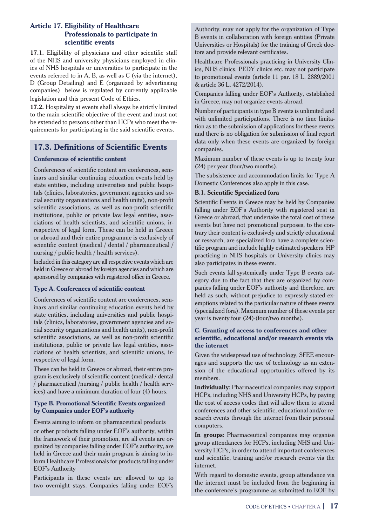## **Article 17. Eligibility of Healthcare Professionals to participate in scientific events**

**17.1.** Eligibility of physicians and other scientific staff of the NHS and university physicians employed in clinics of NHS hospitals or universities to participate in the events referred to in A, B, as well as C (via the internet), D (Group Detailing) and E (organized by advertinsing companies) below is regulated by currently applicable legislation and this present Code of Ethics.

**17.2.** Hospitality at events shall always be strictly limited to the main scientific objective of the event and must not be extended to persons other than HCPs who meet the requirements for participating in the said scientific events.

## **17.3. Definitions of Scientific Events**

## **Conferences of scientific content**

Conferences of scientific content are conferences, seminars and similar continuing education events held by state entities, including universities and public hospitals (clinics, laboratories, government agencies and social security organisations and health units), non-profit scientific associations, as well as non-profit scientific institutions, public or private law legal entities, associations of health scientists, and scientific unions, irrespective of legal form. These can be held in Greece or abroad and their entire programme is exclusively of scientific content (medical / dental / pharmaceutical / nursing / public health / health services).

Included in this category are all respective events which are held in Greece or abroad by foreign agencies and which are sponsored by companies with registered office in Greece.

## **Type A. Conferences of scientific content**

Conferences of scientific content are conferences, seminars and similar continuing education events held by state entities, including universities and public hospitals (clinics, laboratories, government agencies and social security organizations and health units), non-profit scientific associations, as well as non-profit scientific institutions, public or private law legal entities, associations of health scientists, and scientific unions, irrespective of legal form.

These can be held in Greece or abroad, their entire program is exclusively of scientific content (medical / dental / pharmaceutical /nursing / public health / health services) and have a minimum duration of four (4) hours.

#### **Type Β. Promotional Scientific Events organized by Companies under EOF's authority**

Events aiming to inform on pharmaceutical products

or other products falling under EOF's authority, within the framework of their promotion, are all events are organized by companies falling under EOF's authority, are held in Greece and their main program is aiming to inform Healthcare Professionals for products falling under EOF's Authority

Participants in these events are allowed to up to two overnight stays. Companies falling under EOF's

Authority, may not apply for the organization of Type B events in collaboration with foreign entities (Private Universities or Hospitals) for the training of Greek doctors and provide relevant certificates.

Healthcare Professionals practicing in University Clinics, NHS clinics, PEDY clinics etc. may not participate to promotional events (article 11 par. 18 L. 2889/2001 & article 36 L. 4272/2014).

Companies falling under EOF's Authority, established in Greece, may not organize events abroad.

Number of participants in type B events is unlimited and with unlimited participations. There is no time limitation as to the submission of applications for these events and there is no obligation for submission of final report data only when these events are organized by foreign companies.

Maximum number of these events is up to twenty four (24) per year (four/two months).

The subsistence and accommodation limits for Type A Domestic Conferences also apply in this case.

#### **Β.1. Scientific Specialized fora**

Scientific Events in Greece may be held by Companies falling under EOF's Authority with registered seat in Greece or abroad, that undertake the total cost of these events but have not promotional purposes, to the contrary their content is exclusively and strictly educational or research, are specialized fora have a complete scientific program and include highly estimated speakers. HP practicing in NHS hospitals or University clinics may also participates in these events.

Such events fall systemically under Type B events category due to the fact that they are organized by companies falling under EOF's authority and therefore, are held as such, without prejudice to expressly stated exemptions related to the particular nature of these events (specialized fora). Maximum number of these events per year is twenty four (24)-(four/two months).

#### **C. Granting of access to conferences and other scientific, educational and/or research events via the internet**

Given the widespread use of technology, SFEE encourages and supports the use of technology as an extension of the educational opportunities offered by its members.

**Individually**: Pharmaceutical companies may support HCPs, including NHS and University HCPs, by paying the cost of access codes that will allow them to attend conferences and other scientific, educational and/or research events through the internet from their personal computers.

**In groups**: Pharmaceutical companies may organise group attendances for HCPs, including NHS and University HCPs, in order to attend important conferences and scientific, training and/or research events via the internet.

With regard to domestic events, group attendance via the internet must be included from the beginning in the conference's programme as submitted to EOF by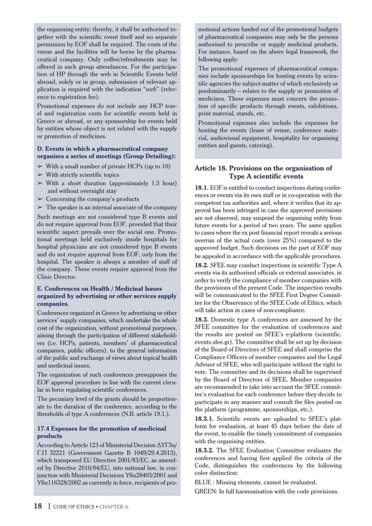the organising entity; thereby, it shall be authorised together with the scientific event itself and no separate permission by EOF shall be required. The costs of the venue and the facilities will be borne by the pharmaceutical company. Only coffee/refreshments may be offered in such group attendances. For the participation of HP through the web in Scientific Events held abroad, solely or in group, submission of relevant application is required with the indication "*web*" (reference to registration fee).

Promotional expenses do not include any HCP travel and registration costs for scientific events held in Greece or abroad, or any sponsorship for events held by entities whose object is not related with the supply or promotion of medicines.

#### **D. Events in which a pharmaceutical company organises a series of meetings (Group Detailing):**

- $\triangleright$  With a small number of private HCPs (up to 10)
- $\triangleright$  With strictly scientific topics
- $>$  With a short duration (approximately 1.5 hour) and without overnight stay
- $\triangleright$  Concerning the company's products
- $\triangleright$  The speaker is an internal associate of the company

Such meetings are not considered type B events and do not require approval from EOF, provided that their scientific aspect prevails over the social one. Promotional meetings held exclusively inside hospitals for hospital physicians are not considered type B events and do not require approval from EOF, only from the hospital. The speaker is always a member of staff of the company. These events require approval from the Clinic Director.

#### **E. Conferences on Health / Medicinal Issues organized by advertising or other services supply companies.**

Conferences organized in Greece by advertising or other services' supply companies, which undertake the whole cost of the organization, without promotional purposes, aiming through the participation of different stakeholders (i.e. HCPs, patients, members' of pharmaceutical companies, public officers), to the general information of the public and exchange of views about topical health and medicinal issues.

The organization of such conferences presupposes the EOF approval procedure in line with the current circular in force regulating scientific conferences.

The pecuniary level of the grants should be proportionate to the duration of the conference, according to the thresholds of type A conferences (N.B. article 19.1.).

## **17.4 Expenses for the promotion of medicinal products**

According to Article 123 of Ministerial Decision ∆ΥΓ3α/ Γ.Π 32221 (Government Gazette B 1049/29.4.2013), which transposed EU Directive 2001/83/EC, as amended by Directive 2010/84/EU, into national law, in conjunction with Ministerial Decisions Υ6α28403/2001 and Υ6α116328/2002 as currently in force, recipients of promotional actions funded out of the promotional budgets of pharmaceutical companies may only be the persons authorised to prescribe or supply medicinal products. For instance, based on the above legal framework, the following apply:

The promotional expenses of pharmaceutical companies include sponsorships for hosting events by scientific agencies the subject-matter of which exclusively or predominantly – relates to the supply or promotion of medicines. These expenses must concern the promotion of specific products through events, exhibitions, print material, stands, etc.

Promotional expenses also include the expenses for hosting the events (lease of venue, conference material, audiovisual equipment, hospitality for organising entities and guests, catering).

## **Article 18. Provisions on the organisation of Type A scientific events**

**18.1.** EOF is entitled to conduct inspections during conferences or events via its own staff or in co-operation with the competent tax authorities and, where it verifies that its approval has been infringed in case the approved provisions are not observed, may suspend the organising entity from future events for a period of two years. The same applies to cases where the ex post financial report reveals a serious overrun of the actual costs (over 25%) compared to the approved budget. Such decisions on the part of EOF may be appealed in accordance with the applicable procedures.

**18.2.** SFEE may conduct inspections in scientific Type A events via its authorised officials or external associates, in order to verify the compliance of member companies with the provisions of the present Code. The inspection results will be communicated to the SFEE First Degree Committee for the Observance of the SFEE Code of Ethics, which will take action in cases of non-compliance.

**18.3.** Domestic type A conferences are assessed by the SFEE committee for the evaluation of conferences and the results are posted on SFEE's e-platform (scientific. events.sfee.gr). The committee shall be set up by decision of the Board of Directors of SFEE and shall comprise the Compliance Officers of member companies and the Legal Advisor of SFEE, who will participate without the right to vote. The committee and its decisions shall be supervised by the Board of Directors of SFEE. Member companies are recommended to take into account the SFEE committee's evaluation for each conference before they decide to participate in any manner and consult the files posted on the platform (programme, sponsorships, etc.).

**18.3.1.** Scientific events are uploaded to SFEE's platform for evaluation, at least 45 days before the date of the event, to enable the timely commitment of companies with the organising entities.

**18.3.2.** The SFEE Evaluation Committee evaluates the conferences and having first applied the criteria of the Code, distinguishes the conferences by the following color distinction:

BLUE : Missing elements, cannot be evaluated.

GREEN: In full harmonisation with the code provisions.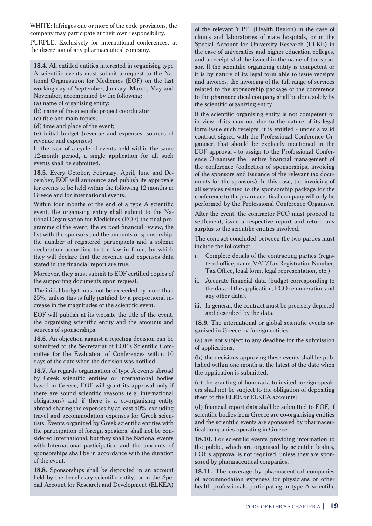WHITE: Infringes one or more of the code provisions, the company may participate at their own responsibility. PURPLE: Exclusively for international conferences, at the discretion of any pharmaceutical company.

**18.4.** All entitled entities interested in organising type A scientific events must submit a request to the National Organisation for Medicines (EOF) on the last working day of September, January, March, May and November, accompanied by the following:

- (a) name of organising entity;
- (b) name of the scientific project coordinator;
- (c) title and main topics;
- (d) time and place of the event;

(e) initial budget (revenue and expenses, sources of revenue and expenses)

In the case of a cycle of events held within the same 12-month period, a single application for all such events shall be submitted.

**18.5.** Every October, February, April, June and December, EOF will announce and publish its approvals for events to be held within the following 12 months in Greece and for international events.

Within four months of the end of a type A scientific event, the organising entity shall submit to the National Organisation for Medicines (EOF) the final programme of the event, the ex post financial review, the list with the sponsors and the amounts of sponsorship, the number of registered participants and a solemn declaration according to the law in force, by which they will declare that the revenue and expenses data stated in the financial report are true.

Moreover, they must submit to EOF certified copies of the supporting documents upon request.

The initial budget must not be exceeded by more than 25%, unless this is fully justified by a proportional increase in the magnitudes of the scientific event.

EOF will publish at its website the title of the event, the organising scientific entity and the amounts and sources of sponsorships.

**18.6.** An objection against a rejecting decision can be submitted to the Secretariat of EOF's Scientific Committee for the Evaluation of Conferences within 10 days of the date when the decision was notified.

**18.7.** As regards organisation of type A events abroad by Greek scientific entities or international bodies based in Greece, EOF will grant its approval only if there are sound scientific reasons (e.g. international obligations) and if there is a co-organising entity abroad sharing the expenses by at least 50%, excluding travel and accommodation expenses for Greek scientists. Events organized by Greek scientific entities with the participation of foreign speakers, shall not be considered International, but they shall be National events with International participation and the amounts of sponsorships shall be in accordance with the duration of the event.

**18.8.** Sponsorships shall be deposited in an account held by the beneficiary scientific entity, or in the Special Account for Research and Development (ELKEA)

of the relevant Y.PE. (Health Region) in the case of clinics and laboratories of state hospitals, or in the Special Account for University Research (ELKE) in the case of universities and higher education colleges, and a receipt shall be issued in the name of the sponsor. If the scientific organizing entity is competent or it is by nature of its legal form able to issue receipts and invoices, the invoicing of the full range of services related to the sponsorship package of the conference to the pharmaceutical company shall be done solely by the scientific organizing entity.

If the scientific organising entity is not competent or in view of its may not due to the nature of its legal form issue such receipts, it is entitled - under a valid contract signed with the Professional Conference Organiser, that should be explicitly mentioned in the EOF approval - to assign to the Professional Conference Organiser the entire financial management of the conference (collection of sponsorships, invoicing of the sponsors and issuance of the relevant tax documents for the sponsors). In this case, the invoicing of all services related to the sponsorship package for the conference to the pharmaceutical company will only be performed by the Professional Conference Organiser.

After the event, the contractor PCO must proceed to settlement, issue a respective report and return any surplus to the scientific entities involved.

The contract concluded between the two parties must include the following:

- i. Complete details of the contracting parties (registered office, name, VAT/Tax Registration Number, Tax Office, legal form, legal representation, etc.)
- ii. Accurate financial data (budget corresponding to the data of the application, PCO remuneration and any other data).
- iii. In general, the contract must be precisely depicted and described by the data.

**18.9.** The international or global scientific events organised in Greece by foreign entities:

(a) are not subject to any deadline for the submission of applications,

(b) the decisions approving these events shall be published within one month at the latest of the date when the application is submitted;

(c) the granting of honoraria to invited foreign speakers shall not be subject to the obligation of depositing them to the ELKE or ELKEA accounts;

(d) financial report data shall be submitted to EOF, if scientific bodies from Greece are co-organising entities and the scientific events are sponsored by pharmaceutical companies operating in Greece.

**18.10.** For scientific events providing information to the public, which are organised by scientific bodies, EOF's approval is not required, unless they are sponsored by pharmaceutical companies.

**18.11.** The coverage by pharmaceutical companies of accommodation expenses for physicians or other health professionals participating in type A scientific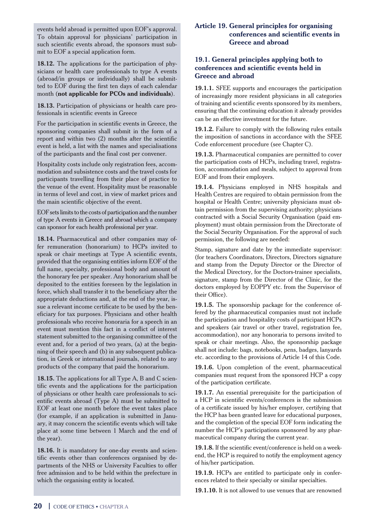events held abroad is permitted upon EOF's approval. To obtain approval for physicians' participation in such scientific events abroad, the sponsors must submit to EOF a special application form.

**18.12.** The applications for the participation of physicians or health care professionals to type A events (abroad/in groups or individually) shall be submitted to EOF during the first ten days of each calendar month (**not applicable for PCOs and individuals**).

**18.13.** Participation of physicians or health care professionals in scientific events in Greece

For the participation in scientific events in Greece, the sponsoring companies shall submit in the form of a report and within two (2) months after the scientific event is held, a list with the names and specialisations of the participants and the final cost per convener.

Hospitality costs include only registration fees, accommodation and subsistence costs and the travel costs for participants travelling from their place of practice to the venue of the event. Hospitality must be reasonable in terms of level and cost, in view of market prices and the main scientific objective of the event.

EOF sets limits to the costs of participation and the number of type A events in Greece and abroad which a company can sponsor for each health professional per year.

**18.14.** Pharmaceutical and other companies may offer remuneration (honorarium) to HCPs invited to speak or chair meetings at Type A scientific events, provided that the organising entities inform EOF of the full name, specialty, professional body and amount of the honorary fee per speaker. Any honorarium shall be deposited to the entities foreseen by the legislation in force, which shall transfer it to the beneficiary after the appropriate deductions and, at the end of the year, issue a relevant income certificate to be used by the beneficiary for tax purposes. Physicians and other health professionals who receive honoraria for a speech in an event must mention this fact in a conflict of interest statement submitted to the organising committee of the event and, for a period of two years, (a) at the beginning of their speech and (b) in any subsequent publication, in Greek or international journals, related to any products of the company that paid the honorarium.

**18.15.** The applications for all Type A, B and C scientific events and the applications for the participation of physicians or other health care professionals to scientific events abroad (Type A) must be submitted to EOF at least one month before the event takes place (for example, if an application is submitted in January, it may concern the scientific events which will take place at some time between 1 March and the end of the year).

**18.16.** It is mandatory for one-day events and scientific events other than conferences organised by departments of the NHS or University Faculties to offer free admission and to be held within the prefecture in which the organising entity is located.

## **Article 19. General principles for organising conferences and scientific events in Greece and abroad**

## **19.1. General principles applying both to conferences and scientific events held in Greece and abroad**

**19.1.1.** SFEE supports and encourages the participation of increasingly more resident physicians in all categories of training and scientific events sponsored by its members, ensuring that the continuing education it already provides can be an effective investment for the future.

**19.1.2.** Failure to comply with the following rules entails the imposition of sanctions in accordance with the SFEE Code enforcement procedure (see Chapter C).

**19.1.3.** Pharmaceutical companies are permitted to cover the participation costs of HCPs, including travel, registration, accommodation and meals, subject to approval from EOF and from their employers.

**19.1.4.** Physicians employed in NHS hospitals and Health Centres are required to obtain permission from the hospital or Health Centre; university physicians must obtain permission from the supervising authority; physicians contracted with a Social Security Organisation (paid employment) must obtain permission from the Directorate of the Social Security Organisation. For the approval of such permission, the following are needed:

Stamp, signature and date by the immediate supervisor: (for teachers Coordinators, Directors, Directors signature and stamp from the Deputy Director or the Director of the Medical Directory, for the Doctors-trainee specialists, signature, stamp from the Director of the Clinic, for the doctors employed by EOPPY etc. from the Supervisor of their Office).

**19.1.5.** The sponsorship package for the conference offered by the pharmaceutical companies must not include the participation and hospitality costs of participant HCPs and speakers (air travel or other travel, registration fee, accommodation), nor any honoraria to persons invited to speak or chair meetings. Also, the sponsorship package shall not include: bags, notebooks, pens, badges, lanyards etc. according to the provisions of Article 14 of this Code.

**19.1.6.** Upon completion of the event, pharmaceutical companies must request from the sponsored HCP a copy of the participation certificate.

**19.1.7.** An essential prerequisite for the participation of a HCP in scientific events/conferences is the submission of a certificate issued by his/her employer, certifying that the HCP has been granted leave for educational purposes, and the completion of the special EOF form indicating the number the HCP's participations sponsored by any pharmaceutical company during the current year.

**19.1.8.** If the scientific event/conference is held on a weekend, the HCP is required to notify the employment agency of his/her participation.

**19.1.9.** HCPs are entitled to participate only in conferences related to their specialty or similar specialties.

**19.1.10.** It is not allowed to use venues that are renowned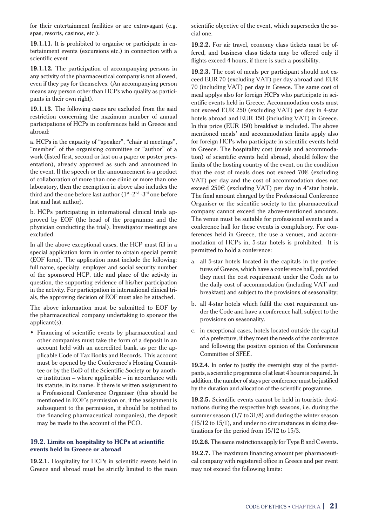for their entertainment facilities or are extravagant (e.g. spas, resorts, casinos, etc.).

**19.1.11.** It is prohibited to organise or participate in entertainment events (excursions etc.) in connection with a scientific event

**19.1.12.** The participation of accompanying persons in any activity of the pharmaceutical company is not allowed, even if they pay for themselves. (An accompanying person means any person other than HCPs who qualify as participants in their own right).

**19.1.13.** The following cases are excluded from the said restriction concerning the maximum number of annual participations of HCPs in conferences held in Greece and abroad:

a. HCPs in the capacity of "speaker", "chair at meetings", "member" of the organising committee or "author" of a work (listed first, second or last on a paper or poster presentation), already approved as such and announced in the event. If the speech or the announcement is a product of collaboration of more than one clinic or more than one laboratory, then the exemption in above also includes the third and the one before last author (1<sup>st</sup> -2<sup>nd</sup> -3<sup>rd</sup> one before last and last author).

b. HCPs participating in international clinical trials approved by EOF (the head of the programme and the physician conducting the trial). Investigator meetings are excluded.

In all the above exceptional cases, the HCP must fill in a special application form in order to obtain special permit (EOF form). The application must include the following: full name, specialty, employer and social security number of the sponsored HCP, title and place of the activity in question, the supporting evidence of his/her participation in the activity. For participation in international clinical trials, the approving decision of EOF must also be attached.

The above information must be submitted to EOF by the pharmaceutical company undertaking to sponsor the applicant(s).

Þ Financing of scientific events by pharmaceutical and other companies must take the form of a deposit in an account held with an accredited bank, as per the applicable Code of Tax Books and Records. This account must be opened by the Conference's Hosting Committee or by the BoD of the Scientific Society or by another institution – where applicable – in accordance with its statute, in its name. If there is written assignment to a Professional Conference Organiser (this should be mentioned in EOF's permission or, if the assignment is subsequent to the permission, it should be notified to the financing pharmaceutical companies), the deposit may be made to the account of the PCO.

#### **19.2. Limits on hospitality to HCPs at scientific events held in Greece or abroad**

**19.2.1.** Hospitality for HCPs in scientific events held in Greece and abroad must be strictly limited to the main scientific objective of the event, which supersedes the social one.

**19.2.2.** For air travel, economy class tickets must be offered, and business class tickets may be offered only if flights exceed 4 hours, if there is such a possibility.

**19.2.3.** The cost of meals per participant should not exceed EUR 70 (excluding VAT) per day abroad and EUR 70 (including VAT) per day in Greece. The same cost of meal applys also for foreign HCPs who participate in scientific events held in Greece. Accommodation costs must not exceed EUR 250 (excluding VAT) per day in 4-star hotels abroad and EUR 150 (including VAT) in Greece. In this price (EUR 150) breakfast is included. The above mentioned meals' and accommodation limits apply also for foreign HCPs who participate in scientific events held in Greece. The hospitality cost (meals and accommodation) of scientific events held abroad, should follow the limits of the hosting country of the event, on the condition that the cost of meals does not exceed 70€ (excluding VAT) per day and the cost of accommodation does not exceed 250€ (excluding VAT) per day in 4\*star hotels. The final amount charged by the Professional Conference Organiser or the scientific society to the pharmaceutical company cannot exceed the above-mentioned amounts. The venue must be suitable for professional events and a conference hall for these events is complulsory. For conferences held in Greece, the use a venues, and accommodation of HCPs in, 5-star hotels is prohibited. It is permitted to hold a conference:

- a. all 5-star hotels located in the capitals in the prefectures of Greece, which have a conference hall, provided they meet the cost requirement under the Code as to the daily cost of accommodation (including VAT and breakfast) and subject to the provisions of seasonality;
- b. all 4-star hotels which fulfil the cost requirement under the Code and have a conference hall, subject to the provisions on seasonality.
- c. in exceptional cases, hotels located outside the capital of a prefecture, if they meet the needs of the conference and following the positive opinion of the Conferences Committee of SFEE.

**19.2.4.** In order to justify the overnight stay of the participants, a scientific programme of at least 4 hours is required. In addition, the number of stays per conference must be justified by the duration and allocation of the scientific programme.

**19.2.5.** Scientific events cannot be held in touristic destinations during the respective high seasons, i.e. during the summer season (1/7 to 31/8) and during the winter season  $(15/12$  to  $15/1)$ , and under no circumstances in skiing destinations for the period from 15/12 to 15/3.

**19.2.6.** The same restrictions apply for Type B and C events.

**19.2.7.** The maximum financing amount per pharmaceutical company with registered office in Greece and per event may not exceed the following limits: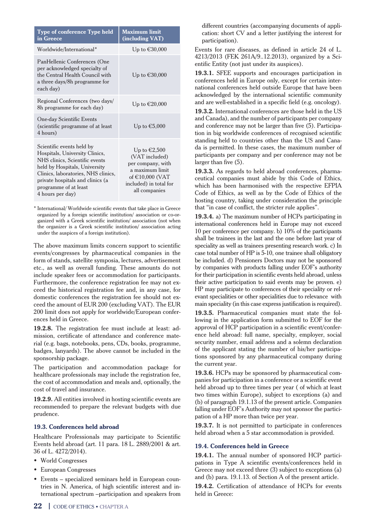| <b>Type of conference Type held</b><br>in Greece                                                                                                                                                                                                       | <b>Maximum limit</b><br>(including VAT)                                                                                                          |
|--------------------------------------------------------------------------------------------------------------------------------------------------------------------------------------------------------------------------------------------------------|--------------------------------------------------------------------------------------------------------------------------------------------------|
| Worldwide/International*                                                                                                                                                                                                                               | Up to $\epsilon$ 30,000                                                                                                                          |
| PanHellenic Conferences (One<br>per acknowledged specialty of<br>the Central Health Council with<br>a three days/8h programme for<br>each day)                                                                                                         | Up to $€30,000$                                                                                                                                  |
| Regional Conferences (two days/<br>8h programme for each day)                                                                                                                                                                                          | Up to €20,000                                                                                                                                    |
| <b>One-day Scientific Events</b><br>(scientific programme of at least)<br>4 hours)                                                                                                                                                                     | Up to $\epsilon$ 5,000                                                                                                                           |
| Scientific events held by<br>Hospitals, University Clinics,<br>NHS clinics, Scientific events<br>held by Hospitals, University<br>Clinics, laboratories, NHS clinics,<br>private hospitals and clinics (a<br>programme of at least<br>4 hours per day) | Up to $\epsilon$ 2,500<br>(VAT included)<br>per company, with<br>a maximum limit<br>of $€10,000$ (VAT<br>included) in total for<br>all companies |

\* International/ Worldwide scientific events that take place in Greece organized by a foreign scientific institution/ association or co-organized with a Greek scientific institution/ association (not when the organizer is a Greek scientific institution/ association acting under the auspices of a foreign institution).

The above maximum limits concern support to scientific events/congresses by pharmaceutical companies in the form of stands, satellite symposia, lectures, advertisement etc., as well as overall funding. These amounts do not include speaker fees or accommodation for participants. Furthermore, the conference registration fee may not exceed the historical registration fee and, in any case, for domestic conferences the registration fee should not exceed the amount of EUR 200 (excluding VAT). The EUR 200 limit does not apply for worldwide/European conferences held in Greece.

**19.2.8.** The registration fee must include at least: admission, certificate of attendance and conference material (e.g. bags, notebooks, pens, CDs, books, programme, badges, lanyards). The above cannot be included in the sponsorship package.

The participation and accommodation package for healthcare professionals may include the registration fee, the cost of accommodation and meals and, optionally, the cost of travel and insurance.

**19.2.9.** All entities involved in hosting scientific events are recommended to prepare the relevant budgets with due prudence.

#### **19.3. Conferences held abroad**

Healthcare Professionals may participate to Scientific Events held abroad (art. 11 para. 18 L. 2889/2001 & art. 36 of L. 4272/2014).

- Þ World Congresses
- Þ European Congresses
- Þ Events specialized seminars held in European countries in N. America, of high scientific interest and international spectrum –participation and speakers from

different countries (accompanying documents of application: short CV and a letter justifying the interest for participation).

Events for rare diseases, as defined in article 24 of L. 4213/2013 (FEK 261A/9..12.2013), organized by a Scientific Entity (not just under its auspices).

**19.3.1.** SFEE supports and encourages participation in conferences held in Europe only, except for certain international conferences held outside Europe that have been acknowledged by the international scientific community and are well-established in a specific field (e.g. oncology).

**19.3.2.** International conferences are those held in the US and Canada), and the number of participants per company and conference may not be larger than five (5). Participation in big worldwide conferences of recognised scientific standing held to countries other than the US and Canada is permitted. In these cases, the maximum number of participants per company and per conference may not be larger than five (5).

**19.3.3.** As regards to held abroad conferences, pharmaceutical companies must abide by this Code of Ethics, which has been harmonised with the respective EFPIA Code of Ethics, as well as by the Code of Ethics of the hosting country, taking under consideration the principle that "in case of conflict, the stricter rule applies".

**19.3.4.** a) The maximum number of HCPs participating in international conferences held in Europe may not exceed 10 per conference per company. b) 10% of the participants shall be trainees in the last and the one before last year of speciality as well as trainees presenting research work. c) In case total number of HP is 5-10, one trainee shall obligatory be included. d) Pensioners Doctors may not be sponsored by companies with products falling under EOF's authority for their participation in scientific events held abroad, unless their active participation to said events may be proven. e) HP may participate to conferences of their speciality or relevant specialities or other specialities due to relevance with main speciality (in this case express justification is required).

**19.3.5.** Pharmaceutical companies must state the following in the application form submitted to EOF for the approval of HCP participation in a scientific event/conference held abroad: full name, specialty, employer, social security number, email address and a solemn declaration of the applicant stating the number of his/her participations sponsored by any pharmaceutical company during the current year.

**19.3.6.** HCPs may be sponsored by pharmaceutical companies for participation in a conference or a scientific event held abroad up to three times per year ( of which at least two times within Europe), subject to exceptions (a) and (b) of paragraph 19.1.13 of the present article. Companies falling under EOF's Authority may not sponsor the participation of a HP more than twice per year.

**19.3.7.** It is not permitted to participate in conferences held abroad when a 5 star accommodation is provided.

## **19.4. Conferences held in Greece**

**19.4.1.** The annual number of sponsored HCP participations in Type A scientific events/conferences held in Greece may not exceed three (3) subject to exceptions (a) and (b) para. 19.1.13. of Section A of the present article.

**19.4.2.** Certification of attendance of HCPs for events held in Greece: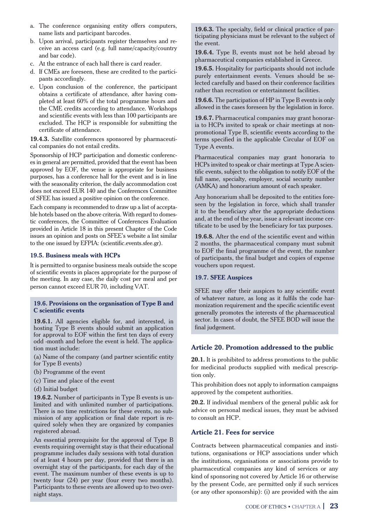- a. The conference organising entity offers computers, name lists and participant barcodes.
- b. Upon arrival, participants register themselves and receive an access card (e.g. full name/capacity/country and bar code).
- c. At the entrance of each hall there is card reader.
- d. If CMEs are foreseen, these are credited to the participants accordingly.
- e. Upon conclusion of the conference, the participant obtains a certificate of attendance, after having completed at least 60% of the total programme hours and the CME credits according to attendance. Workshops and scientific events with less than 100 participants are excluded. The HCP is responsible for submitting the certificate of attendance.

**19.4.3.** Satellite conferences sponsored by pharmaceutical companies do not entail credits.

Sponsorship of HCP participation and domestic conferences in general are permitted, provided that the event has been approved by EOF, the venue is appropriate for business purposes, has a conference hall for the event and is in line with the seasonality criterion, the daily accommodation cost does not exceed EUR 140 and the Conferences Committee of SFEE has issued a positive opinion on the conference.

Each company is recommended to draw up a list of acceptable hotels based on the above criteria. With regard to domestic conferences, the Committee of Conferences Evaluation provided in Article 18 in this present Chapter of the Code issues an opinion and posts on SFEE's website a list similar to the one issued by EFPIA: (scientific.events.sfee.gr).

#### **19.5. Business meals with HCPs**

It is permitted to organise business meals outside the scope of scientific events in places appropriate for the purpose of the meeting. In any case, the daily cost per meal and per person cannot exceed EUR 70, including VAT.

#### **19.6. Provisions on the organisation of Type B and C scientific events**

**19.6.1.** All agencies eligible for, and interested, in hosting Type B events should submit an application for approval to EOF within the first ten days of every odd -month and before the event is held. The application must include:

(a) Name of the company (and partner scientific entity for Type B events)

- (b) Programme of the event
- (c) Time and place of the event
- (d) Initial budget

**19.6.2.** Number of participants in Type B events is unlimited and with unlimited number of participations. There is no time restrictions for these events, no submission of any application or final date report is required solely when they are organized by companies registered abroad.

An essential prerequisite for the approval of Type B events requiring overnight stay is that their educational programme includes daily sessions with total duration of at least 4 hours per day, provided that there is an overnight stay of the participants, for each day of the event. The maximum number of these events is up to twenty four (24) per year (four every two months). Participants to these events are allowed up to two overnight stays.

**19.6.3.** The specialty, field or clinical practice of participating physicians must be relevant to the subject of the event.

**19.6.4.** Type B, events must not be held abroad by pharmaceutical companies established in Greece.

**19.6.5.** Hospitality for participants should not include purely entertainment events. Venues should be selected carefully and based on their conference facilities rather than recreation or entertainment facilities.

**19.6.6.** The participation of HP in Type Β events is only allowed in the cases foreseen by the legislation in force.

**19.6.7.** Pharmaceutical companies may grant honoraria to HCPs invited to speak or chair meetings at nonpromotional Type B, scientific events according to the terms specified in the applicable Circular of EOF on Type A events.

Pharmaceutical companies may grant honoraria to HCPs invited to speak or chair meetings at Type A scientific events, subject to the obligation to notify EOF of the full name, specialty, employer, social security number (AMKA) and honorarium amount of each speaker.

Any honorarium shall be deposited to the entities foreseen by the legislation in force, which shall transfer it to the beneficiary after the appropriate deductions and, at the end of the year, issue a relevant income certificate to be used by the beneficiary for tax purposes.

**19.6.8.** After the end of the scientific event and within 2 months, the pharmaceutical company must submit to EOF the final programme of the event, the number of participants, the final budget and copies of expense vouchers upon request.

## **19.7. SFEE Auspices**

SFEE may offer their auspices to any scientific event of whatever nature, as long as it fulfils the code harmonization requirement and the specific scientific event generally promotes the interests of the pharmaceutical sector. In cases of doubt, the SFEE BOD will issue the final judgement.

## **Article 20. Promotion addressed to the public**

**20.1.** It is prohibited to address promotions to the public for medicinal products supplied with medical prescription only.

This prohibition does not apply to information campaigns approved by the competent authorities.

**20.2.** If individual members of the general public ask for advice on personal medical issues, they must be advised to consult an HCP.

## **Article 21. Fees for service**

Contracts between pharmaceutical companies and institutions, organisations or HCP associations under which the institutions, organisations or associations provide to pharmaceutical companies any kind of services or any kind of sponsoring not covered by Article 16 or otherwise by the present Code, are permitted only if such services (or any other sponsorship): (i) are provided with the aim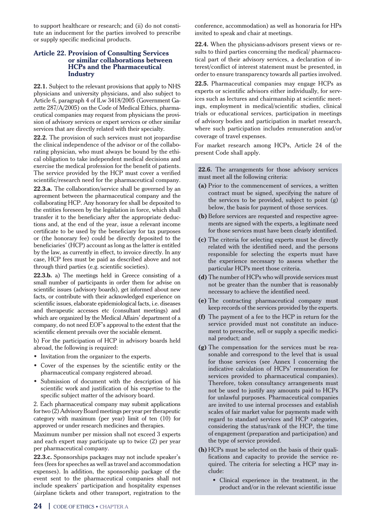to support healthcare or research; and (ii) do not constitute an inducement for the parties involved to prescribe or supply specific medicinal products.

#### **Article 22. Provision of Consulting Services or similar collaborations between HCPs and the Pharmaceutical Industry**

**22.1.** Subject to the relevant provisions that apply to NHS physicians and university physicians, and also subject to Article 6, paragraph 4 of lLw 3418/2005 (Government Gazette 287/A/2005) on the Code of Medical Ethics, pharmaceutical companies may request from physicians the provision of advisory services or expert services or other similar services that are directly related with their specialty.

**22.2.** The provision of such services must not jeopardise the clinical independence of the advisor or of the collaborating physician, who must always be bound by the ethical obligation to take independent medical decisions and exercise the medical profession for the benefit of patients. The service provided by the HCP must cover a verified scientific/research need for the pharmaceutical company.

**22.3.a.** The collaboration/service shall be governed by an agreement between the pharmaceutical company and the collaborating HCP. Any honorary fee shall be deposited to the entities foreseen by the legislation in force, which shall transfer it to the beneficiary after the appropriate deductions and, at the end of the year, issue a relevant income certificate to be used by the beneficiary for tax purposes or (the honorary fee) could be directly deposited to the beneficiaries' (HCP) account as long as the latter is entitled by the law, as currently in effect, to invoice directly. In any case, HCP fees must be paid as described above and not through third parties (e.g. scientific societies).

**22.3.b.** a) The meetings held in Greece consisting of a small number of participants in order them for advise on scientific issues (advisory boards), get informed about new facts, or contribute with their acknowledged experience on scientific issues, elaborate epidemiological facts, i.e. diseases and therapeutic accesses etc (consultant meetings) and which are organized by the Medical Affairs' department of a company, do not need EOF's approval to the extent that the scientific element prevails over the sociable element.

b) For the participation of HCP in advisory boards held abroad, the following is required:

- Þ Invitation from the organizer to the experts.
- Þ Cover of the expenses by the scientific entity or the pharmaceutical company registered abroad.
- Þ Submission of document with the description of his scientific work and justification of his expertise to the specific subject matter of the advisory board.

2. Each pharmaceutical company may submit applications for two (2) Advisory Board meetings per year per therapeutic category with maximum (per year) limit of ten (10) for approved or under research medicines and therapies.

Maximum number per mission shall not exceed 3 experts and each expert may participate up to twice (2) per year per pharmaceutical company.

**22.3.c.** Sponsorships packages may not include speaker's fees (fees for speeches as well as travel and accommodation expenses). In addition, the sponsorship package of the event sent to the pharmaceutical companies shall not include speakers' participation and hospitality expenses (airplane tickets and other transport, registration to the conference, accommodation) as well as honoraria for HPs invited to speak and chair at meetings.

**22.4.** When the physicians-advisors present views or results to third parties concerning the medical/ pharmaceutical part of their advisory services, a declaration of interest/conflict of interest statement must be presented, in order to ensure transparency towards all parties involved.

**22.5.** Pharmaceutical companies may engage HCPs as experts or scientific advisors either individually, for services such as lectures and chairmanship at scientific meetings, employment in medical/scientific studies, clinical trials or educational services, participation in meetings of advisory bodies and participation in market research, where such participation includes remuneration and/or coverage of travel expenses.

For market research among HCPs, Article 24 of the present Code shall apply.

**22.6.** The arrangements for those advisory services must meet all the following criteria:

- **(a)** Prior to the commencement of services, a written contract must be signed, specifying the nature of the services to be provided, subject to point (g) below, the basis for payment of those services.
- **(b)** Before services are requested and respective agreements are signed with the experts, a legitimate need for those services must have been clearly identified.
- **(c)** The criteria for selecting experts must be directly related with the identified need, and the persons responsible for selecting the experts must have the experience necessary to assess whether the particular HCPs meet those criteria.
- **(d)** The number of HCPs who will provide services must not be greater than the number that is reasonably necessary to achieve the identified need.
- **(e)** The contracting pharmaceutical company must keep records of the services provided by the experts.
- **(f)** The payment of a fee to the HCP in return for the service provided must not constitute an inducement to prescribe, sell or supply a specific medicinal product; and
- **(g)** The compensation for the services must be reasonable and correspond to the level that is usual for those services (see Annex I concerning the indicative calculation of HCPs' remuneration for services provided to pharmaceutical companies). Therefore, token consultancy arrangements must not be used to justify any amounts paid to HCPs for unlawful purposes. Pharmaceutical companies are invited to use internal processes and establish scales of fair market value for payments made with regard to standard services and HCP categories, considering the status/rank of the HCP, the time of engagement (preparation and participation) and the type of service provided.
- **(h)** HCPs must be selected on the basis of their qualifications and capacity to provide the service required. The criteria for selecting a HCP may include:
	- Þ Clinical experience in the treatment, in the product and/or in the relevant scientific issue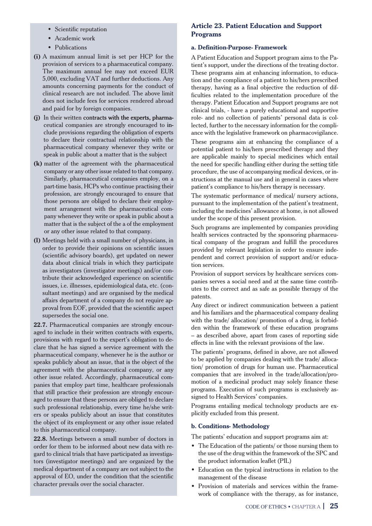- Scientific reputation
- Þ Academic work
- Publications
- **(i)** A maximum annual limit is set per HCP for the provision of services to a pharmaceutical company. The maximum annual fee may not exceed EUR 5,000, excluding VAT and further deductions. Any amounts concerning payments for the conduct of clinical research are not included. The above limit does not include fees for services rendered abroad and paid for by foreign companies.
- **(j)** In their written contracts with the experts, pharmaceutical companies are strongly encouraged to include provisions regarding the obligation of experts to declare their contractual relationship with the pharmaceutical company whenever they write or speak in public about a matter that is the subject
- **(k)** matter of the agreement with the pharmaceutical company or any other issue related to that company. Similarly, pharmaceutical companies employ, on a part-time basis, HCPs who continue practising their profession, are strongly encouraged to ensure that those persons are obliged to declare their employment arrangement with the pharmaceutical company whenever they write or speak in public about a matter that is the subject of the a of the employment or any other issue related to that company.
- **(l)** Meetings held with a small number of physicians, in order to provide their opinions on scientific issues (scientific advisory boards), get updated on newer data about clinical trials in which they participate as investigators (investigator meetings) and/or contribute their acknowledged experience on scientific issues, i.e. illnesses, epidemiological data, etc. (consultant meetings) and are organised by the medical affairs department of a company do not require approval from EOF, provided that the scientific aspect supersedes the social one.

**22.7.** Pharmaceutical companies are strongly encouraged to include in their written contracts with experts, provisions with regard to the expert's obligation to declare that he has signed a service agreement with the pharmaceutical company, whenever he is the author or speaks publicly about an issue, that is the object of the agreement with the pharmaceutical company, or any other issue related. Accordingly, pharmaceutical companies that employ part time, healthcare professionals that still practice their profession are strongly encouraged to ensure that these persons are obliged to declare such professional relationship, every time he/she writers or speaks publicly about an issue that constitutes the object of its employment or any other issue related to this pharmaceutical company.

**22.8.** Meetings between a small number of doctors in order for them to be informed about new data with regard to clinical trials that have participated as investigators (investigator meetings) and are organized by the medical department of a company are not subject to the approval of EO, under the condition that the scientific character prevails over the social character.

## **Article 23. Patient Education and Support Programs**

#### **a. Definition-Purpose- Framework**

A Patient Education and Support program aims to the Patient's support, under the directions of the treating doctor. These programs aim at enhancing information, to education and the compliance of a patient to his/hers prescribed therapy, having as a final objective the reduction of difficulties related to the implementation procedure of the therapy. Patient Education and Support programs are not clinical trials, - have a purely educational and supportive role- and no collection of patients' personal data is collected, further to the necessary information for the compliance with the legislative framework on pharmacovigilance.

These programs aim at enhancing the compliance of a potential patient to his/hers prescribed therapy and they are applicable mainly to special medicines which entail the need for specific handling either during the setting title procedure, the use of accompanying medical devices, or instructions at the manual use and in general in cases where patient's compliance to his/hers therapy is necessary.

The systematic performance of medical/ nursery actions, pursuant to the implementation of the patient's treatment, including the medicines' allowance at home, is not allowed under the scope of this present provision.

Such programs are implemented by companies providing health services contracted by the sponsoring pharmaceutical company of the program and fulfill the procedures provided by relevant legislation in order to ensure independent and correct provision of support and/or education services.

Provision of support services by healthcare services companies serves a social need and at the same time contributes to the correct and as safe as possible therapy of the patents.

Any direct or indirect communication between a patient and his familiars and the pharmaceutical company dealing with the trade/ allocation/ promotion of a drug, is forbidden within the framework of these education programs – as described above, apart from cases of reporting side effects in line with the relevant provisions of the law.

The patients' programs, defined in above, are not allowed to be applied by companies dealing with the trade/ allocation/ promotion of drugs for human use. Pharmaceutical companies that are involved in the trade/allocation/promotion of a medicinal product may solely finance these programs. Execution of such programs is exclusively assigned to Health Services' companies.

Programs entailing medical technology products are explicitly excluded from this present.

## **b. Conditions- Methodology**

The patients' education and support programs aim at:

- The Education of the patients/ or those nursing them to the use of the drug within the framework of the SPC and the product information leaflet (PIL)
- Þ Education on the typical instructions in relation to the management of the disease
- Þ Provision of materials and services within the framework of compliance with the therapy, as for instance,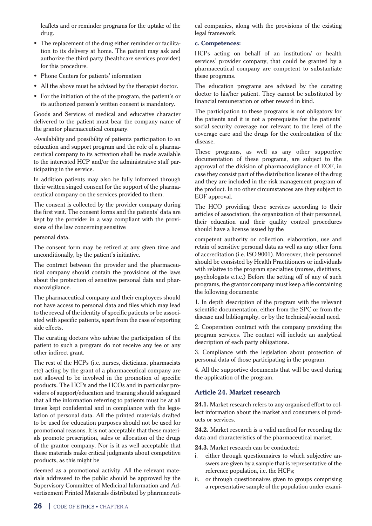leaflets and or reminder programs for the uptake of the drug.

- The replacement of the drug either reminder or facilitation to its delivery at home. The patient may ask and authorize the third party (healthcare services provider) for this procedure.
- Þ Phone Centers for patients' information
- Þ All the above must be advised by the therapist doctor.
- Þ For the initiation of the of the program, the patient's or its authorized person's written consent is mandatory.

Goods and Services of medical and educative character delivered to the patient must bear the company name of the grantor pharmaceutical company.

-Availability and possibility of patients participation to an education and support program and the role of a pharmaceutical company to its activation shall be made available to the interested HCP and/or the administrative staff participating in the service.

In addition patients may also be fully informed through their written singed consent for the support of the pharmaceutical company on the services provided to them.

The consent is collected by the provider company during the first visit. The consent forms and the patients' data are kept by the provider in a way compliant with the provisions of the law concerning sensitive

personal data.

The consent form may be retired at any given time and unconditionally, by the patient's initiative.

The contract between the provider and the pharmaceutical company should contain the provisions of the laws about the protection of sensitive personal data and pharmacovigilance.

The pharmaceutical company and their employees should not have access to personal data and files which may lead to the reveal of the identity of specific patients or be associated with specific patients, apart from the case of reporting side effects.

The curating doctors who advise the participation of the patient to such a program do not receive any fee or any other indirect grant.

The rest of the HCPs (i.e. nurses, dieticians, pharmacists etc) acting by the grant of a pharmaceutical company are not allowed to be involved in the promotion of specific products. The HCPs and the HCOs and in particular providers of support/education and training should safeguard that all the information referring to patients must be at all times kept confidential and in compliance with the legislation of personal data. All the printed materials drafted to be used for education purposes should not be used for promotional reasons. It is not acceptable that these materials promote prescription, sales or allocation of the drugs of the grantor company. Nor is it as well acceptable that these materials make critical judgments about competitive products, as this might be

deemed as a promotional activity. All the relevant materials addressed to the public should be approved by the Supervisory Committee of Medicinal Information and Advertisement Printed Materials distributed by pharmaceutical companies, along with the provisions of the existing legal framework.

#### **c. Competences:**

HCPs acting on behalf of an institution/ or health services' provider company, that could be granted by a pharmaceutical company are competent to substantiate these programs.

The education programs are advised by the curating doctor to his/her patient. They cannot be substituted by financial remuneration or other reward in kind.

The participation to these programs is not obligatory for the patients and it is not a prerequisite for the patients' social security coverage nor relevant to the level of the coverage care and the drugs for the confrontation of the disease.

These programs, as well as any other supportive documentation of these programs, are subject to the approval of the division of pharmacovigilance of EOF, in case they consist part of the distribution license of the drug and they are included in the risk management program of the product. In no other circumstances are they subject to EOF approval.

The HCO providing these services according to their articles of association, the organization of their personnel, their education and their quality control procedures should have a license issued by the

competent authority or collection, elaboration, use and retain of sensitive personal data as well as any other form of accreditation (i.e. ISO 9001). Moreover, their personnel should be consisted by Health Practitioners or individuals with relative to the program specialties (nurses, dietitians, psychologists e.t.c.) Before the setting off of any of such programs, the grantor company must keep a file containing the following documents:

1. In depth description of the program with the relevant scientific documentation, either from the SPC or from the disease and bibliography, or by the technical/social need.

2. Cooperation contract with the company providing the program services. The contact will include an analytical description of each party obligations.

3. Compliance with the legislation about protection of personal data of those participating in the program.

4. All the supportive documents that will be used during the application of the program.

## **Article 24. Market research**

**24.1.** Market research refers to any organised effort to collect information about the market and consumers of products or services.

**24.2.** Market research is a valid method for recording the data and characteristics of the pharmaceutical market.

**24.3.** Market research can be conducted:

- i. either through questionnaires to which subjective answers are given by a sample that is representative of the reference population, i.e. the HCPs;
- ii. or through questionnaires given to groups comprising a representative sample of the population under exami-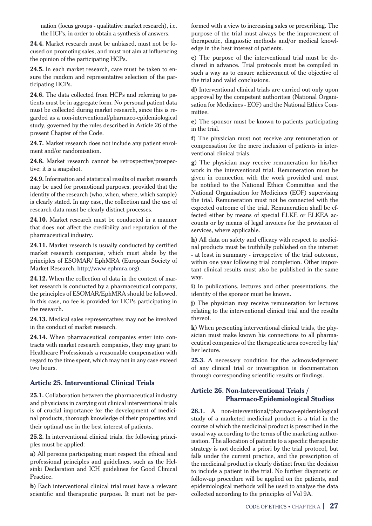nation (focus groups - qualitative market research), i.e. the HCPs, in order to obtain a synthesis of answers.

**24.4.** Market research must be unbiased, must not be focused on promoting sales, and must not aim at influencing the opinion of the participating HCPs.

**24.5.** In each market research, care must be taken to ensure the random and representative selection of the participating HCPs.

**24.6.** The data collected from HCPs and referring to patients must be in aggregate form. No personal patient data must be collected during market research, since this is regarded as a non-interventional/pharmaco-epidemiological study, governed by the rules described in Article 26 of the present Chapter of the Code.

**24.7.** Market research does not include any patient enrolment and/or randomisation.

24.8. Market research cannot be retrospective/prospective; it is a snapshot.

**24.9.** Information and statistical results of market research may be used for promotional purposes, provided that the identity of the research (who, when, where, which sample) is clearly stated. In any case, the collection and the use of research data must be clearly distinct processes.

**24.10.** Market research must be conducted in a manner that does not affect the credibility and reputation of the pharmaceutical industry.

**24.11.** Market research is usually conducted by certified market research companies, which must abide by the principles of ESOMAR/ EphMRA (European Society of Market Research, http://www.ephmra.org).

**24.12.** When the collection of data in the context of market research is conducted by a pharmaceutical company, the principles of ESOMAR/EphMRA should be followed. In this case, no fee is provided for HCPs participating in the research.

**24.13.** Medical sales representatives may not be involved in the conduct of market research.

**24.14.** When pharmaceutical companies enter into contracts with market research companies, they may grant to Healthcare Professionals a reasonable compensation with regard to the time spent, which may not in any case exceed two hours.

## **Article 25. Interventional Clinical Trials**

**25.1.** Collaboration between the pharmaceutical industry and physicians in carrying out clinical interventional trials is of crucial importance for the development of medicinal products, thorough knowledge of their properties and their optimal use in the best interest of patients.

**25.2.** In interventional clinical trials, the following principles must be applied:

**a**) All persons participating must respect the ethical and professional principles and guidelines, such as the Helsinki Declaration and ICH guidelines for Good Clinical Practice.

**b**) Each interventional clinical trial must have a relevant scientific and therapeutic purpose. It must not be performed with a view to increasing sales or prescribing. The purpose of the trial must always be the improvement of therapeutic, diagnostic methods and/or medical knowledge in the best interest of patients.

**c**) The purpose of the interventional trial must be declared in advance. Trial protocols must be compiled in such a way as to ensure achievement of the objective of the trial and valid conclusions.

**d**) Interventional clinical trials are carried out only upon approval by the competent authorities (National Organisation for Medicines - EOF) and the National Ethics Committee.

**e**) The sponsor must be known to patients participating in the trial.

**f**) The physician must not receive any remuneration or compensation for the mere inclusion of patients in interventional clinical trials.

**g**) The physician may receive remuneration for his/her work in the interventional trial. Remuneration must be given in connection with the work provided and must be notified to the National Ethics Committee and the National Organisation for Medicines (EOF) supervising the trial. Remuneration must not be connected with the expected outcome of the trial. Remuneration shall be effected either by means of special ELKE or ELKEA accounts or by means of legal invoices for the provision of services, where applicable.

**h**) All data on safety and efficacy with respect to medicinal products must be truthfully published on the internet - at least in summary - irrespective of the trial outcome, within one year following trial completion. Other important clinical results must also be published in the same way.

**i**) In publications, lectures and other presentations, the identity of the sponsor must be known.

**j**) The physician may receive remuneration for lectures relating to the interventional clinical trial and the results thereof.

**k**) When presenting interventional clinical trials, the physician must make known his connections to all pharmaceutical companies of the therapeutic area covered by his/ her lecture.

**25.3.** A necessary condition for the acknowledgement of any clinical trial or investigation is documentation through corresponding scientific results or findings.

## **Article 26. Non-Interventional Trials / Pharmaco-Epidemiological Studies**

**26.1.** A non-interventional/pharmaco-epidemiological study of a marketed medicinal product is a trial in the course of which the medicinal product is prescribed in the usual way according to the terms of the marketing authorisation. The allocation of patients to a specific therapeutic strategy is not decided a priori by the trial protocol, but falls under the current practice, and the prescription of the medicinal product is clearly distinct from the decision to include a patient in the trial. No further diagnostic or follow-up procedure will be applied on the patients, and epidemiological methods will be used to analyse the data collected according to the principles of Vol 9A.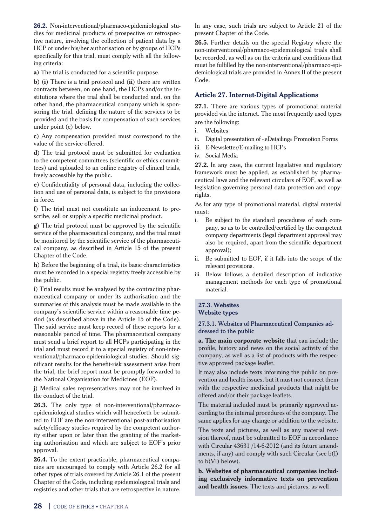**26.2.** Non-interventional/pharmaco-epidemiological studies for medicinal products of prospective or retrospective nature, involving the collection of patient data by a HCP or under his/her authorisation or by groups of HCPs specifically for this trial, must comply with all the following criteria:

**a**) The trial is conducted for a scientific purpose.

**b**) (**i**) There is a trial protocol and (**ii**) there are written contracts between, on one hand, the HCPs and/or the institutions where the trial shall be conducted and, on the other hand, the pharmaceutical company which is sponsoring the trial, defining the nature of the services to be provided and the basis for compensation of such services under point (c) below.

**c**) Any compensation provided must correspond to the value of the service offered.

**d**) The trial protocol must be submitted for evaluation to the competent committees (scientific or ethics committees) and uploaded to an online registry of clinical trials, freely accessible by the public.

**e**) Confidentiality of personal data, including the collection and use of personal data, is subject to the provisions in force.

**f**) The trial must not constitute an inducement to prescribe, sell or supply a specific medicinal product.

**g**) The trial protocol must be approved by the scientific service of the pharmaceutical company, and the trial must be monitored by the scientific service of the pharmaceutical company, as described in Article 15 of the present Chapter of the Code.

**h**) Before the beginning of a trial, its basic characteristics must be recorded in a special registry freely accessible by the public.

**i**) Trial results must be analysed by the contracting pharmaceutical company or under its authorisation and the summaries of this analysis must be made available to the company's scientific service within a reasonable time period (as described above in the Article 15 of the Code). The said service must keep record of these reports for a reasonable period of time. The pharmaceutical company must send a brief report to all HCPs participating in the trial and must record it to a special registry of non-interventional/pharmaco-epidemiological studies. Should significant results for the benefit-risk assessment arise from the trial, the brief report must be promptly forwarded to the National Organisation for Medicines (EOF).

**j**) Medical sales representatives may not be involved in the conduct of the trial.

26.3. The only type of non-interventional/pharmacoepidemiological studies which will henceforth be submitted to EOF are the non-interventional post-authorisation safety/efficacy studies required by the competent authority either upon or later than the granting of the marketing authorisation and which are subject to EOF's prior approval.

**26.4.** To the extent practicable, pharmaceutical companies are encouraged to comply with Article 26.2 for all other types of trials covered by Article 26.1 of the present Chapter of the Code, including epidemiological trials and registries and other trials that are retrospective in nature. In any case, such trials are subject to Article 21 of the present Chapter of the Code.

**26.5.** Further details on the special Registry where the non-interventional/pharmaco-epidemiological trials shall be recorded, as well as on the criteria and conditions that must be fulfilled by the non-interventional/pharmaco-epidemiological trials are provided in Annex II of the present Code.

## **Article 27. Internet-Digital Applications**

**27.1.** There are various types of promotional material provided via the internet. The most frequently used types are the following:

- i. Websites
- ii. Digital presentation of «eDetailing» Promotion Forms
- iii. E-Newsletter/E-mailing to HCPs
- iv. Social Media

**27.2.** In any case, the current legislative and regulatory framework must be applied, as established by pharmaceutical laws and the relevant circulars of EOF, as well as legislation governing personal data protection and copyrights.

As for any type of promotional material, digital material must:

- i. Be subject to the standard procedures of each company, so as to be controlled/certified by the competent company departments (legal department approval may also be required, apart from the scientific department approval);
- ii. Be submitted to EOF, if it falls into the scope of the relevant provisions.
- iii. Below follows a detailed description of indicative management methods for each type of promotional material.

## **27.3. Websites Website types**

27.3.1. Websites of Pharmaceutical Companies addressed to the public

**a. The main corporate website** that can include the profile, history and news on the social activity of the company, as well as a list of products with the respective approved package leaflet.

It may also include texts informing the public on prevention and health issues, but it must not connect them with the respective medicinal products that might be offered and/or their package leaflets.

The material included must be primarily approved according to the internal procedures of the company. The same applies for any change or addition to the website.

The texts and pictures, as well as any material revision thereof, must be submitted to EOF in accordance with Circular 43631 /14-6-2012 (and its future amendments, if any) and comply with such Circular (see b(I) to b(VI) below).

**b. Websites of pharmaceutical companies including exclusively informative texts on prevention and health issues.** The texts and pictures, as well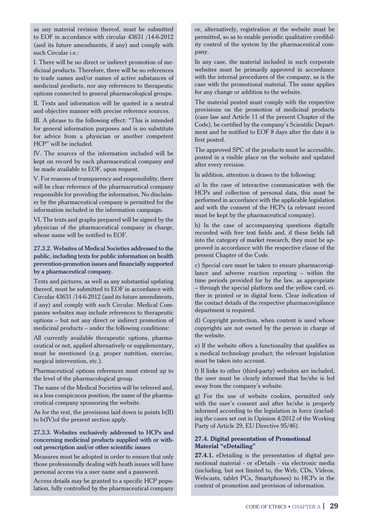as any material revision thereof, must be submitted to EOF in accordance with circular 43631 /14-6-2012 (and its future amendments, if any) and comply with such Circular i.e.:

Ι. There will be no direct or indirect promotion of medicinal products. Therefore, there will be no references to trade names and/or names of active substances of medicinal products, nor any references to therapeutic options connected to general pharmacological groups.

ΙΙ. Texts and information will be quoted in a neutral and objective manner with precise reference sources.

ΙΙΙ. A phrase to the following effect: "This is intended for general information purposes and is no substitute for advice from a physician or another competent HCP" will be included.

ΙV. The sources of the information included will be kept on record by each pharmaceutical company and be made available to EOF, upon request.

V. For reasons of transparency and responsibility, there will be clear reference of the pharmaceutical company responsible for providing the information. No disclaimer by the pharmaceutical company is permitted for the information included in the information campaign.

VI. The texts and graphs prepared will be signed by the physician of the pharmaceutical company in charge, whose name will be notified to EOF.

#### 27.3.2. Websites of Medical Societies addressed to the public, including texts for public information on health prevention-promotion issues and financially supported by a pharmaceutical company.

Texts and pictures, as well as any substantial updating thereof, must be submitted to EOF in accordance with Circular 43631 /14-6-2012 (and its future amendments, if any) and comply with such Circular. Medical Companies websites may include references to therapeutic options – but not any direct or indirect promotion of medicinal products – under the following conditions:

All currently available therapeutic options, pharmaceutical or not, applied alternatively or supplementary, must be mentioned (e.g. proper nutrition, exercise, surgical intervention, etc.).

Pharmaceutical options references must extend up to the level of the pharmacological group.

The name of the Medical Societies will be referred and, in a less conspicuous position, the name of the pharmaceutical company sponsoring the website.

As for the rest, the provisions laid down in points b(II) to b(IV)of the present section apply.

#### 27.3.3. Websites exclusively addressed to HCPs and concerning medicinal products supplied with or without prescription and/or other scientific issues

Measures must be adopted in order to ensure that only those professionally dealing with heath issues will have personal access via a user name and a password.

Access details may be granted to a specific HCP population, fully controlled by the pharmaceutical company or, alternatively, registration at the website must be permitted, so as to enable periodic qualitative credibility control of the system by the pharmaceutical company.

In any case, the material included in such corporate websites must be primarily approved in accordance with the internal procedures of the company, as is the case with the promotional material. The same applies for any change or addition to the website.

The material posted must comply with the respective provisions on the promotion of medicinal products (case law and Article 11 of the present Chapter of the Code), be certified by the company's Scientific Department and be notified to EOF 8 days after the date it is first posted.

The approved SPC of the products must be accessible, posted in a visible place on the website and updated after every revision.

In addition, attention is drawn to the following:

a) In the case of interactive communication with the HCPs and collection of personal data, this must be performed in accordance with the applicable legislation and with the consent of the HCPs (a relevant record must be kept by the pharmaceutical company).

b) In the case of accompanying questions digitally recorded with free text fields and, if these fields fall into the category of market research, they must be approved in accordance with the respective clause of the present Chapter of the Code.

c) Special care must be taken to ensure pharmacovigilance and adverse reaction reporting – within the time periods provided for by the law, as appropriate – through the special platform and the yellow card, either in printed or in digital form. Clear indication of the contact details of the respective pharmacovigilance department is required.

d) Copyright protection, when content is used whose copyrights are not owned by the person in charge of the website.

e) If the website offers a functionality that qualifies as a medical technology product; the relevant legislation must be taken into account.

f) If links to other (third-party) websites are included, the user must be clearly informed that he/she is led away from the company's website.

g) For the use of website cookies, permitted only with the user's consent and after he/she is properly informed according to the legislation in force (excluding the cases set out in Opinion 4/2012 of the Working Party of Article 29, EU Directive 95/46).

#### **27.4. Digital presentation of Promotional Material "eDetailing"**

**27.4.1.** eDetailing is the presentation of digital promotional material - or eDetails - via electronic media (including, but not limited to, the Web, CDs, Videos, Webcasts, tablet PCs, Smartphones) to HCPs in the context of promotion and provision of information.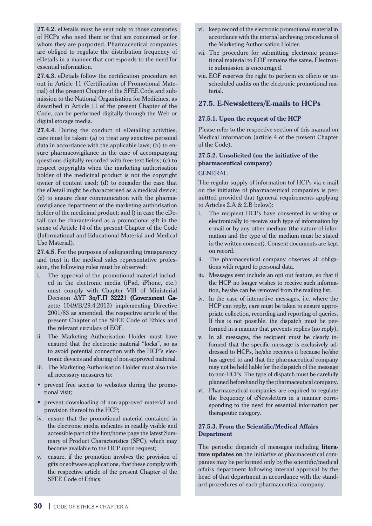**27.4.2.** eDetails must be sent only to those categories of HCPs who need them or that are concerned or for whom they are purported. Pharmaceutical companies are obliged to regulate the distribution frequency of eDetails in a manner that corresponds to the need for essential information.

**27.4.3.** eDetails follow the certification procedure set out in Article 11 (Certification of Promotional Material) of the present Chapter of the SFEE Code and submission to the National Organisation for Medicines, as described in Article 11 of the present Chapter of the Code, can be performed digitally through the Web or digital storage media.

**27.4.4.** During the conduct of eDetailing activities, care must be taken: (a) to treat any sensitive personal data in accordance with the applicable laws; (b) to ensure pharmacovigilance in the case of accompanying questions digitally recorded with free text fields; (c) to respect copyrights when the marketing authorisation holder of the medicinal product is not the copyright owner of content used; (d) to consider the case that the eDetail might be characterised as a medical device; (e) to ensure clear communication with the pharmacovigilance department of the marketing authorisation holder of the medicinal product; and f) in case the eDetail can be characterised as a promotional gift in the sense of Article 14 of the present Chapter of the Code (Informational and Educational Material and Medical Use Material).

**27.4.5.** For the purposes of safeguarding transparency and trust in the medical sales representative profession, the following rules must be observed:

- i. The approval of the promotional material included in the electronic media (iPad, iPhone, etc.) must comply with Chapter VIII of Ministerial Decision ∆ΥΓ 3α/Γ.Π 32221 (Government Gazette 1049/Β/29.4.2013) implementing Directive 2001/83 as amended, the respective article of the present Chapter of the SFEE Code of Ethics and the relevant circulars of EOF.
- ii. The Marketing Authorisation Holder must have ensured that the electronic material "locks", so as to avoid potential connection with the HCP's electronic devices and sharing of non-approved material.
- iii. The Marketing Authorisation Holder must also take all necessary measures to:
- prevent free access to websites during the promotional visit;
- Þ prevent downloading of non-approved material and provision thereof to the HCP;
- iv. ensure that the promotional material contained in the electronic media indicates in readily visible and accessible part of the first/home page the latest Summary of Product Characteristics (SPC), which may become available to the HCP upon request;
- v. ensure, if the promotion involves the provision of gifts or software applications, that these comply with the respective article of the present Chapter of the SFEE Code of Ethics;
- vi. keep record of the electronic promotional material in accordance with the internal archiving procedures of the Marketing Authorisation Holder.
- vii. The procedure for submitting electronic promotional material to EOF remains the same. Electronic submission is encouraged.
- viii. EOF reserves the right to perform ex officio or unscheduled audits on the electronic promotional material.

## **27.5. E-Newsletters/E-mails to HCPs**

#### **27.5.1. Upon the request of the HCP**

Please refer to the respective section of this manual on Medical Information (article 4 of the present Chapter of the Code).

## **27.5.2. Unsolicited (on the initiative of the pharmaceutical company)**

#### GENERAL

The regular supply of information tof HCPs via e-mail on the initiative of pharmaceutical companies is permittted provided that (general requirements applying to Articles 2.Α & 2.Β below):

- i. The recipient HCPs have consented in writing or electronically to receive such type of information by e-mail or by any other medium (the nature of information and the type of the medium must be stated in the written consent). Consent documents are kept on record.
- ii. The pharmaceutical company observes all obligations with regard to personal data.
- iii. Messages sent include an opt out feature, so that if the HCP no longer wishes to receive such information, he/she can be removed from the mailing list.
- iv. In the case of interactive messages, i.e. where the HCP can reply, care must be taken to ensure appropriate collection, recording and reporting of queries. If this is not possible, the dispatch must be performed in a manner that prevents replies (no reply).
- v. In all messages, the recipient must be clearly informed that the specific message is exclusively addressed to HCPs, he/she receives it because he/she has agreed to and that the pharmaceutical company may not be held liable for the dispatch of the message to non-HCPs. The type of dispatch must be carefully planned beforehand by the pharmaceutical company.
- vi. Pharmaceutical companies are required to regulate the frequency of eNewsletters in a manner corresponding to the need for essential information per therapeutic category.

#### **27.5.3. From the Scientific/Medical Affairs Department**

The periodic dispatch of messages including **literature updates on** the initiative of pharmaceutical companies may be performed only by the scientific/medical affairs department following internal approval by the head of that department in accordance with the standard procedures of each pharmaceutical company.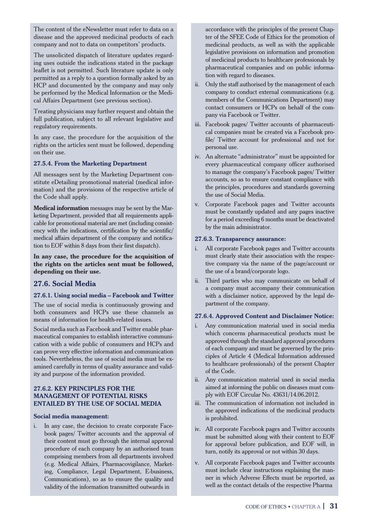The content of the eNewsletter must refer to data on a disease and the approved medicinal products of each company and not to data on competitors' products.

The unsolicited dispatch of literature updates regarding uses outside the indications stated in the package leaflet is not permitted. Such literature update is only permitted as a reply to a question formally asked by an HCP and documented by the company and may only be performed by the Medical Information or the Medical Affairs Department (see previous section).

Treating physicians may further request and obtain the full publication, subject to all relevant legislative and regulatory requirements.

In any case, the procedure for the acquisition of the rights on the articles sent must be followed, depending on their use.

#### **27.5.4. From the Marketing Department**

All messages sent by the Marketing Department constitute eDetailing promotional material (medical information) and the provisions of the respective article of the Code shall apply.

**Medical information** messages may be sent by the Marketing Department, provided that all requirements applicable for promotional material are met (including consistency with the indications, certification by the scientific/ medical affairs department of the company and notification to EOF within 8 days from their first dispatch).

**In any case, the procedure for the acquisition of the rights on the articles sent must be followed, depending on their use.** 

#### **27.6. Social Media**

#### **27.6.1. Using social media – Facebook and Twitter**

The use of social media is continuously growing and both consumers and HCPs use these channels as means of information for health-related issues.

Social media such as Facebook and Twitter enable pharmaceutical companies to establish interactive communication with a wide public of consumers and HCPs and can prove very effective information and communication tools. Nevertheless, the use of social media must be examined carefully in terms of quality assurance and validity and purpose of the information provided.

#### **27.6.2. KEY PRINCIPLES FOR THE MANAGEMENT OF POTENTIAL RISKS ENTAILED BY THE USE OF SOCIAL MEDIA**

#### **Social media management:**

i. In any case, the decision to create corporate Facebook pages/ Twitter accounts and the approval of their content must go through the internal approval procedure of each company by an authorised team comprising members from all departments involved (e.g. Medical Affairs, Pharmacovigilance, Marketing, Compliance, Legal Department, E-business, Communications), so as to ensure the quality and validity of the information transmitted outwards in

accordance with the principles of the present Chapter of the SFEE Code of Ethics for the promotion of medicinal products, as well as with the applicable legislative provisions on information and promotion of medicinal products to healthcare professionals by pharmaceutical companies and on public information with regard to diseases.

- ii. Only the staff authorised by the management of each company to conduct external communications (e.g. members of the Communications Department) may contact consumers or HCPs on behalf of the company via Facebook or Twitter.
- iii. Facebook pages/ Twitter accounts of pharmaceutical companies must be created via a Facebook profile/ Twitter account for professional and not for personal use.
- iv. An alternate "administrator" must be appointed for every pharmaceutical company officer authorised to manage the company's Facebook pages/ Twitter accounts, so as to ensure constant compliance with the principles, procedures and standards governing the use of Social Media.
- v. Corporate Facebook pages and Twitter accounts must be constantly updated and any pages inactive for a period exceeding 6 months must be deactivated by the main administrator.

#### **27.6.3. Transparency assurance:**

- i. All corporate Facebook pages and Twitter accounts must clearly state their association with the respective company via the name of the page/account or the use of a brand/corporate logo.
- ii. Third parties who may communicate on behalf of a company must accompany their communication with a disclaimer notice, approved by the legal department of the company.

#### **27.6.4. Approved Content and Disclaimer Notice:**

- i. Any communication material used in social media which concerns pharmaceutical products must be approved through the standard approval procedures of each company and must be governed by the principles of Article 4 (Medical Information addressed to healthcare professionals) of the present Chapter of the Code.
- ii. Any communication material used in social media aimed at informing the public on diseases must comply with EOF Circular No. 43631/14.06.2012.
- iii. The communication of information not included in the approved indications of the medicinal products is prohibited.
- iv. All corporate Facebook pages and Twitter accounts must be submitted along with their content to EOF for approval before publication, and EOF will, in turn, notify its approval or not within 30 days.
- v. All corporate Facebook pages and Twitter accounts must include clear instructions explaining the manner in which Adverse Effects must be reported, as well as the contact details of the respective Pharma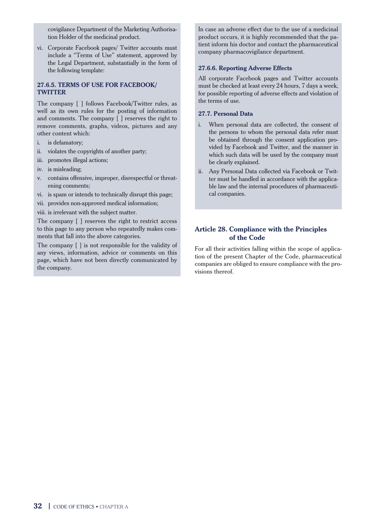covigilance Department of the Marketing Authorisation Holder of the medicinal product.

vi. Corporate Facebook pages/ Twitter accounts must include a "Terms of Use" statement, approved by the Legal Department, substantially in the form of the following template:

## **27.6.5. TERMS OF USE FOR FACEBOOK/ TWITTER**

The company [ ] follows Facebook/Twitter rules, as well as its own rules for the posting of information and comments. The company [ ] reserves the right to remove comments, graphs, videos, pictures and any other content which:

- i. is defamatory;
- ii. violates the copyrights of another party;
- iii. promotes illegal actions;
- iv. is misleading;
- v. contains offensive, improper, disrespectful or threatening comments;
- vi. is spam or intends to technically disrupt this page;
- vii. provides non-approved medical information;

viii. is irrelevant with the subject matter.

The company [ ] reserves the right to restrict access to this page to any person who repeatedly makes comments that fall into the above categories.

The company [ ] is not responsible for the validity of any views, information, advice or comments on this page, which have not been directly communicated by the company.

In case an adverse effect due to the use of a medicinal product occurs, it is highly recommended that the patient inform his doctor and contact the pharmaceutical company pharmacovigilance department.

#### **27.6.6. Reporting Adverse Effects**

All corporate Facebook pages and Twitter accounts must be checked at least every 24 hours, 7 days a week, for possible reporting of adverse effects and violation of the terms of use.

#### **27.7. Personal Data**

- i. When personal data are collected, the consent of the persons to whom the personal data refer must be obtained through the consent application provided by Facebook and Twitter, and the manner in which such data will be used by the company must be clearly explained.
- ii. Any Personal Data collected via Facebook or Twitter must be handled in accordance with the applicable law and the internal procedures of pharmaceutical companies.

## **Article 28. Compliance with the Principles of the Code**

For all their activities falling within the scope of application of the present Chapter of the Code, pharmaceutical companies are obliged to ensure compliance with the provisions thereof.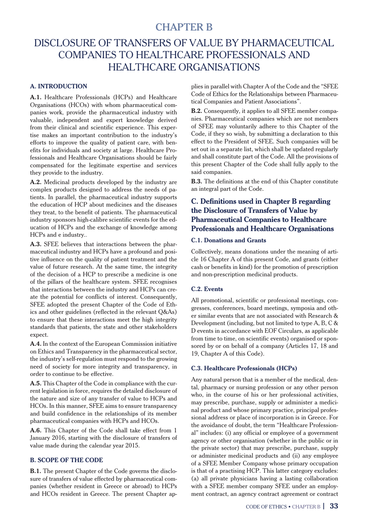## CHAPTER Β

## DISCLOSURE OF TRANSFERS OF VALUE BY PHARMACEUTICAL COMPANIES TO HEALTHCARE PROFESSIONALS AND HEALTHCARE ORGANISATIONS

## **A. INTRODUCTION**

**A.1.** Healthcare Professionals (HCPs) and Healthcare Organisations (HCOs) with whom pharmaceutical companies work, provide the pharmaceutical industry with valuable, independent and expert knowledge derived from their clinical and scientific experience. This expertise makes an important contribution to the industry's efforts to improve the quality of patient care, with benefits for individuals and society at large. Healthcare Professionals and Healthcare Organisations should be fairly compensated for the legitimate expertise and services they provide to the industry.

**A.2.** Medicinal products developed by the industry are complex products designed to address the needs of patients. In parallel, the pharmaceutical industry supports the education of HCP about medicines and the diseases they treat, to the benefit of patients. The pharmaceutical industry sponsors high-calibre scientific events for the education of HCPs and the exchange of knowledge among HCPs and e industry..

**A.3.** SFEE believes that interactions between the pharmaceutical industry and HCPs have a profound and positive influence on the quality of patient treatment and the value of future research. At the same time, the integrity of the decision of a HCP to prescribe a medicine is one of the pillars of the healthcare system. SFEE recognises that interactions between the industry and HCPs can create the potential for conflicts of interest. Consequently, SFEE adopted the present Chapter of the Code of Ethics and other guidelines (reflected in the relevant Q&As) to ensure that these interactions meet the high integrity standards that patients, the state and other stakeholders expect.

**A.4.** In the context of the European Commission initiative on Ethics and Transparency in the pharmaceutical sector, the industry's self-regulation must respond to the growing need of society for more integrity and transparency, in order to continue to be effective.

**A.5.** This Chapter of the Code in compliance with the current legislation in force, requires the detailed disclosure of the nature and size of any transfer of value to HCPs and HCOs. In this manner, SFEE aims to ensure transparency and build confidence in the relationships of its member pharmaceutical companies with HCPs and HCOs.

**A.6.** This Chapter of the Code shall take effect from 1 January 2016, starting with the disclosure of transfers of value made during the calendar year 2015.

#### **B. SCOPE OF THE CODE**

**B.1.** The present Chapter of the Code governs the disclosure of transfers of value effected by pharmaceutical companies (whether resident in Greece or abroad) to HCPs and HCOs resident in Greece. The present Chapter applies in parallel with Chapter A of the Code and the "SFEE Code of Ethics for the Relationships between Pharmaceutical Companies and Patient Associations".

**B.2.** Consequently, it applies to all SFEE member companies. Pharmaceutical companies which are not members of SFEE may voluntarily adhere to this Chapter of the Code, if they so wish, by submitting a declaration to this effect to the President of SFEE. Such companies will be set out in a separate list, which shall be updated regularly and shall constitute part of the Code. All the provisions of this present Chapter of the Code shall fully apply to the said companies.

**B.3.** The definitions at the end of this Chapter constitute an integral part of the Code.

## **C. Definitions used in Chapter B regarding the Disclosure of Transfers of Value by Pharmaceutical Companies to Healthcare Professionals and Healthcare Organisations**

#### **C.1. Donations and Grants**

Collectively, means donations under the meaning of article 16 Chapter A of this present Code, and grants (either cash or benefits in kind) for the promotion of prescription and non-prescription medicinal products.

#### **C.2. Events**

All promotional, scientific or professional meetings, congresses, conferences, board meetings, symposia and other similar events that are not associated with Research & Development (including, but not limited to type A, B, C & D events in accordance with EOF Circulars, as applicable from time to time, on scientific events) organised or sponsored by or on behalf of a company (Articles 17, 18 and 19, Chapter A of this Code).

#### **C.3. Healthcare Professionals (HCPs)**

Any natural person that is a member of the medical, dental, pharmacy or nursing profession or any other person who, in the course of his or her professional activities. may prescribe, purchase, supply or administer a medicinal product and whose primary practice, principal professional address or place of incorporation is in Greece. For the avoidance of doubt, the term "Healthcare Professional" includes: (i) any official or employee of a government agency or other organisation (whether in the public or in the private sector) that may prescribe, purchase, supply or administer medicinal products and (ii) any employee of a SFEE Member Company whose primary occupation is that of a practising HCP. This latter category excludes: (a) all private physicians having a lasting collaboration with a SFEE member company SFEE under an employment contract, an agency contract agreement or contract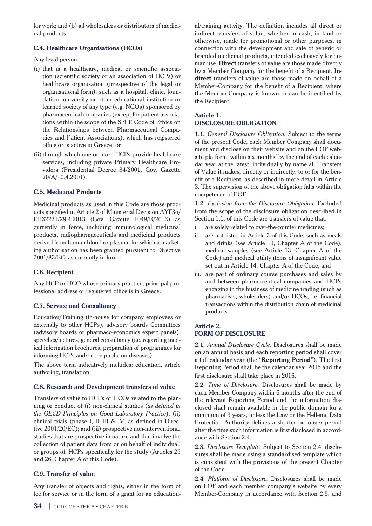for work; and (b) all wholesalers or distributors of medicinal products.

## **C.4. Healthcare Organisations (HCOs)**

Any legal person:

- (i) that is a healthcare, medical or scientific association (scientific society or an association of HCPs) or healthcare organisation (irrespective of the legal or organisational form), such as a hospital, clinic, foundation, university or other educational institution or learned society of any type (e.g. NGOs) sponsored by pharmaceutical companies (except for patient associations within the scope of the SFEE Code of Ethics on the Relationships between Pharmaceutical Companies and Patient Associations), which has registered office or is active in Greece; or
- (ii) through which one or more HCPs provide healthcare services, including private Primary Healthcare Providers (Presidential Decree 84/2001, Gov. Gazette 70/A/10.4.2001).

## **C.5. Medicinal Products**

Medicinal products as used in this Code are those products specified in Article 2 of Ministerial Decision ∆ΥΓ3α/ ΓΠ32221/29.4.2013 (Gov. Gazette 1049/B/2013) as currently in force, including immunological medicinal products, radiopharmaceuticals and medicinal products derived from human blood or plasma, for which a marketing authorisation has been granted pursuant to Directive 2001/83/EC, as currently in force.

## **C.6. Recipient**

Any HCP or HCO whose primary practice, principal professional address or registered office is in Greece.

## **C.7. Service and Consultancy**

Education/Training (in-house for company employees or externally to other HCPs), advisory boards Committees (advisory boards or pharmaco-economics expert panels), speeches/lectures, general consultancy (i.e. regarding medical information brochures, preparation of programmes for informing HCPs and/or the public on diseases).

The above term indicatively includes: education, article authoring, translation.

## **C.8. Research and Development transfers of value**

Transfers of value to HCPs or HCOs related to the planning or conduct of (i) non-clinical studies (*as defined in the OECD Principles on Good Laboratory Practice*); (ii) clinical trials (phase I, II, III & IV, as defined in Directive 2001/20/EC); and (iii) prospective non-interventional studies that are prospective in nature and that involve the collection of patient data from or on behalf of individual, or groups of, HCPs specifically for the study (Articles 25 and 26, Chapter A of this Code).

## **C.9. Transfer of value**

Any transfer of objects and rights, either in the form of fee for service or in the form of a grant for an educational/training activity. The definition includes all direct or indirect transfers of value, whether in cash, in kind or otherwise, made for promotional or other purposes, in connection with the development and sale of generic or branded medicinal products, intended exclusively for human use. **Direct** transfers of value are those made directly by a Member Company for the benefit of a Recipient. **Indirect** transfers of value are those made on behalf of a Member-Company for the benefit of a Recipient, where the Member-Company is known or can be identified by the Recipient.

## **Article 1. DISCLOSURE OBLIGATION**

**1.1***. General Disclosure Obligation.* Subject to the terms of the present Code, each Member Company shall document and disclose on their website and on the EOF website platform, within six months' by the end of each calendar year at the latest, individually by name all Transfers of Value it makes, directly or indirectly, to or for the benefit of a Recipient, as described in more detail in Article 3. The supervision of the above obligation falls within the competence of EOF.

**1.2***. Exclusion from the Disclosure Obligation*. Excluded from the scope of the disclosure obligation described in Section 1.1. of this Code are transfers of value that:

- i. are solely related to over-the-counter medicines;
- ii. are not listed in Article 3 of this Code, such as meals and drinks (see Article 19, Chapter A of the Code), medical samples (see Article 13, Chapter A of the Code) and medical utility items of insignificant value set out in Article 14, Chapter A of the Code; and
- iii. are part of ordinary course purchases and sales by and between pharmaceutical companies and HCPs engaging in the business of medicine trading (such as pharmacists, wholesalers) and/or HCOs, i.e. financial transactions within the distribution chain of medicinal products.

## **Article 2. FORM OF DISCLOSURE**

**2.1***. Annual Disclosure Cycle.* Disclosures shall be made on an annual basis and each reporting period shall cover a full calendar year (the "**Reporting Period**"). The first Reporting Period shall be the calendar year 2015 and the first disclosure shall take place in 2016.

**2.2***. Time of Disclosure.* Disclosures shall be made by each Member Company within 6 months after the end of the relevant Reporting Period and the information disclosed shall remain available in the public domain for a minimum of 3 years, unless the Law or the Hellenic Data Protection Authority defines a shorter or longer period after the time such information is first disclosed in accordance with Section 2.4.

**2.3***. Disclosure Template.* Subject to Section 2.4, disclosures shall be made using a standardised template which is consistent with the provisions of the present Chapter of the Code.

**2.4***. Platform of Disclosure.* Disclosures shall be made on EOF and each member company's website by every Member-Company in accordance with Section 2.5. and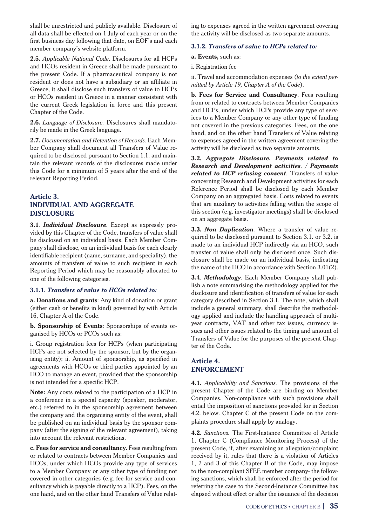shall be unrestricted and publicly available. Disclosure of all data shall be effected on 1 July of each year or on the first business day following that date, on EOF's and each member company's website platform.

**2.5.** *Applicable National Code*. Disclosures for all HCPs and HCOs resident in Greece shall be made pursuant to the present Code. If a pharmaceutical company is not resident or does not have a subsidiary or an affiliate in Greece, it shall disclose such transfers of value to HCPs or HCOs resident in Greece in a manner consistent with the current Greek legislation in force and this present Chapter of the Code.

**2.6.** *Language of Disclosure.* Disclosures shall mandatorily be made in the Greek language.

**2.7.** *Documentation and Retention of Records*. Each Member Company shall document all Transfers of Value required to be disclosed pursuant to Section 1.1. and maintain the relevant records of the disclosures made under this Code for a minimum of 5 years after the end of the relevant Reporting Period.

## **Article 3. INDIVIDUAL AND AGGREGATE DISCLOSURE**

**3.1***. Individual Disclosure.* Except as expressly provided by this Chapter of the Code, transfers of value shall be disclosed on an individual basis. Each Member Company shall disclose, on an individual basis for each clearly identifiable recipient (name, surname, and speciality), the amounts of transfers of value to such recipient in each Reporting Period which may be reasonably allocated to one of the following categories.

#### **3.1.1.** *Transfers of value to HCOs related to:*

**a. Donations and grants**: Any kind of donation or grant (either cash or benefits in kind) governed by with Article 16, Chapter A of the Code.

**b. Sponsorship of Events**: Sponsorships of events organised by HCOs or PCOs such as:

i. Group registration fees for HCPs (when participating HCPs are not selected by the sponsor, but by the organising entity); ii. Amount of sponsorship, as specified in agreements with HCOs or third parties appointed by an HCO to manage an event, provided that the sponsorship is not intended for a specific HCP.

**Note:** Any costs related to the participation of a HCP in a conference in a special capacity (speaker, moderator, etc.) referred to in the sponsorship agreement between the company and the organising entity of the event, shall be published on an individual basis by the sponsor company (after the signing of the relevant agreement), taking into account the relevant restrictions.

**c. Fees for service and consultancy.** Fees resulting from or related to contracts between Member Companies and HCOs, under which HCOs provide any type of services to a Member Company or any other type of funding not covered in other categories (e.g. fee for service and consultancy which is payable directly to a HCP). Fees, on the one hand, and on the other hand Transfers of Value relating to expenses agreed in the written agreement covering the activity will be disclosed as two separate amounts.

#### **3.1.2.** *Transfers of value to HCPs related to:*

**a. Events,** such as:

i. Registration fee

ii. Travel and accommodation expenses (*to the extent permitted by Article 19, Chapter A of the Code*).

**b. Fees for Service and Consultancy**. Fees resulting from or related to contracts between Member Companies and HCPs, under which HCPs provide any type of services to a Member Company or any other type of funding not covered in the previous categories. Fees, on the one hand, and on the other hand Transfers of Value relating to expenses agreed in the written agreement covering the activity will be disclosed as two separate amounts.

**3.2***. Aggregate Disclosure. Payments related to Research and Development activities. / Payments related to HCP refusing consent.* Transfers of value concerning Research and Development activities for each Reference Period shall be disclosed by each Member Company on an aggregated basis. Costs related to events that are auxiliary to activities falling within the scope of this section (e.g. investigator meetings) shall be disclosed on an aggregate basis.

**3.3***. Non Duplication.* Where a transfer of value required to be disclosed pursuant to Section 3.1. or 3.2. is made to an individual HCP indirectly via an HCO, such transfer of value shall only be disclosed once. Such disclosure shall be made on an individual basis, indicating the name of the HCO in accordance with Section 3.01(2).

**3.4***. Methodology.* Each Member Company shall publish a note summarising the methodology applied for the disclosure and identification of transfers of value for each category described in Section 3.1. The note, which shall include a general summary, shall describe the methodology applied and include the handling approach of multiyear contracts, VAT and other tax issues, currency issues and other issues related to the timing and amount of Transfers of Value for the purposes of the present Chapter of the Code.

## **Article 4. ENFORCEMENT**

**4.1***. Applicability and Sanctions.* The provisions of the present Chapter of the Code are binding on Member Companies. Non-compliance with such provisions shall entail the imposition of sanctions provided for in Section 4.2. below. Chapter C of the present Code on the complaints procedure shall apply by analogy.

**4.2.** *Sanctions.* The First-Instance Committee of Article 1, Chapter C (Compliance Monitoring Process) of the present Code, if, after examining an allegation/complaint received by it, rules that there is a violation of Articles 1, 2 and 3 of this Chapter B of the Code, may impose to the non-compliant SFEE member company- the following sanctions, which shall be enforced after the period for referring the case to the Second-Instance Committee has elapsed without effect or after the issuance of the decision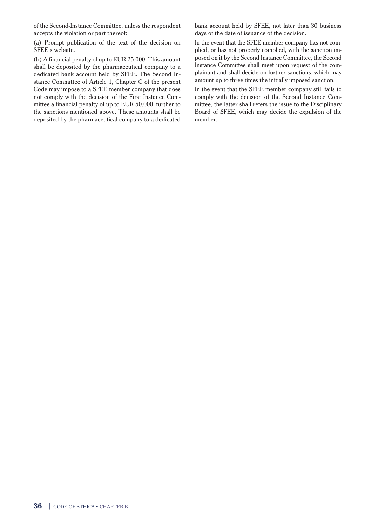of the Second-Instance Committee, unless the respondent accepts the violation or part thereof:

(a) Prompt publication of the text of the decision on SFEE's website.

(b) A financial penalty of up to EUR 25,000. This amount shall be deposited by the pharmaceutical company to a dedicated bank account held by SFEE. The Second Instance Committee of Article 1, Chapter C of the present Code may impose to a SFEE member company that does not comply with the decision of the First Instance Committee a financial penalty of up to EUR 50,000, further to the sanctions mentioned above. These amounts shall be deposited by the pharmaceutical company to a dedicated bank account held by SFEE, not later than 30 business days of the date of issuance of the decision.

In the event that the SFEE member company has not complied, or has not properly complied, with the sanction imposed on it by the Second Instance Committee, the Second Instance Committee shall meet upon request of the complainant and shall decide on further sanctions, which may amount up to three times the initially imposed sanction.

In the event that the SFEE member company still fails to comply with the decision of the Second Instance Committee, the latter shall refers the issue to the Disciplinary Board of SFEE, which may decide the expulsion of the member.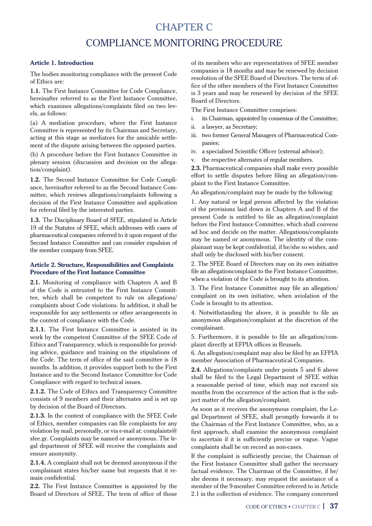## CHAPTER C COMPLIANCE MONITORING PROCEDURE

#### **Article 1. Introduction**

The bodies monitoring compliance with the present Code of Ethics are:

**1.1.** The First Instance Committee for Code Compliance, hereinafter referred to as the First Instance Committee, which examines allegations/complaints filed on two levels, as follows:

(a) A mediation procedure, where the First Instance Committee is represented by its Chairman and Secretary, acting at this stage as mediators for the amicable settlement of the dispute arising between the opposed parties.

(b) A procedure before the First Instance Committee in plenary session (discussion and decision on the allegation/complaint).

**1.2.** The Second Instance Committee for Code Compliance, hereinafter referred to as the Second Instance Committee, which reviews allegations/complaints following a decision of the First Instance Committee and application for referral filed by the interested parties.

**1.3.** The Disciplinary Board of SFEE, stipulated in Article 19 of the Statutes of SFEE, which addresses with cases of pharmaceutical companies referred to it upon request of the Second Instance Committee and can consider expulsion of the member company from SFEE.

#### **Article 2. Structure, Responsibilities and Complaints Procedure of the First Instance Committee**

**2.1.** Monitoring of compliance with Chapters A and B of the Code is entrusted to the First Instance Committee, which shall be competent to rule on allegations/ complaints about Code violations. In addition, it shall be responsible for any settlements or other arrangements in the context of compliance with the Code.

**2.1.1.** The First Instance Committee is assisted in its work by the competent Committee of the SFEE Code of Ethics and Transparency, which is responsible for providing advice, guidance and training on the stipulations of the Code. The term of office of the said committee is 18 months. In addition, it provides support both to the First Instance and to the Second Instance Committee for Code Compliance with regard to technical issues.

**2.1.2.** The Code of Ethics and Transparency Committee consists of 9 members and their alternates and is set up by decision of the Board of Directors.

**2.1.3.** In the context of compliance with the SFEE Code of Ethics, member companies can file complaints for any violation by mail, personally, or via e-mail at: complaints@ sfee.gr. Complaints may be named or anonymous. The legal department of SFEE will receive the complaints and ensure anonymity.

**2.1.4.** A complaint shall not be deemed anonymous if the complainant states his/her name but requests that it remain confidential.

**2.2.** The First Instance Committee is appointed by the Board of Directors of SFEE. The term of office of those of its members who are representatives of SFEE member companies is 18 months and may be renewed by decision resolution of the SFEE Board of Directors. The term of office of the other members of the First Instance Committee is 3 years and may be renewed by decision of the SFEE Board of Directors.

The First Instance Committee comprises:

- i. its Chairman, appointed by consensus of the Committee;
- ii. a lawyer, as Secretary;
- iii. two former General Managers of Pharmaceutical Companies;
- iv. a specialised Scientific Officer (external advisor);
- v. the respective alternates of regular members.

**2.3.** Pharmaceutical companies shall make every possible effort to settle disputes before filing an allegation/complaint to the First Instance Committee.

An allegation/complaint may be made by the following:

1. Any natural or legal person affected by the violation of the provisions laid down in Chapters A and B of the present Code is entitled to file an allegation/complaint before the First Instance Committee, which shall convene ad hoc and decide on the matter. Allegations/complaints may be named or anonymous. The identity of the complainant may be kept confidential, if he/she so wishes, and shall only be disclosed with his/her consent.

2. The SFEE Board of Directors may on its own initiative file an allegationcomplaint to the First Instance Committee, when a violation of the Code is brought to its attention.

3. The First Instance Committee may file an allegation/ complaint on its own initiative, when aviolation of the Code is brought to its attention.

4. Notwithstanding the above, it is possible to file an anonymous allegation/complaint at the discretion of the complainant.

5. Furthermore, it is possible to file an allegation/complaint directly at EFPIA offices in Brussels.

6. An allegation/complaint may also be filed by an EFPIA member Association of Pharmaceutical Companies.

**2.4.** Allegations/complaints under points 5 and 6 above shall be filed to the Legal Department of SFEE within a reasonable period of time, which may not exceed six months from the occurrence of the action that is the subject matter of the allegation/complaint.

As soon as it receives the anonymous complaint, the Legal Department of SFEE, shall promptly forwards it to the Chairman of the First Instance Committee, who, as a first approach, shall examine the anonymous complaint to ascertain if it is sufficiently precise or vague. Vague complaints shall be on record as non-cases.

If the complaint is sufficiently precise, the Chairman of the First Instance Committee shall gather the necessary factual evidence. The Chairman of the Committee, if he/ she deems it necessary, may request the assistance of a member of the 9-member Committee referred to in Article 2.1 in the collection of evidence. The company concerned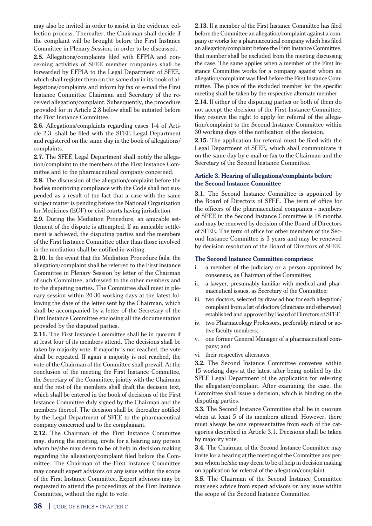may also be invited in order to assist in the evidence collection process. Thereafter, the Chairman shall decide if the complaint will be brought before the First Instance Committee in Plenary Session, in order to be discussed.

**2.5.** Allegations/complaints filed with EFPIA and concerning activities of SFEE member companies shall be forwarded by EFPIA to the Legal Department of SFEE, which shall register them on the same day in its book of allegations/complaints and inform by fax or e-mail the First Instance Committee Chairman and Secretary of the received allegation/complaint. Subsequently, the procedure provided for in Article 2.8 below shall be initiated before the First Instance Committee.

**2.6.** Allegations/complaints regarding cases 1-4 of Article 2.3. shall be filed with the SFEE Legal Department and registered on the same day in the book of allegations/ complaints.

**2.7.** The SFEE Legal Department shall notify the allegation/complaint to the members of the First Instance Committee and to the pharmaceutical company concerned.

**2.8.** The discussion of the allegation/complaint before the bodies monitoring compliance with the Code shall not suspended as a result of the fact that a case with the same subject matter is pending before the National Organisation for Medicines (EOF) or civil courts having jurisdiction.

**2.9.** During the Mediation Procedure, an amicable settlement of the dispute is attempted. If an amicable settlement is achieved, the disputing parties and the members of the First Instance Committee other than those involved in the mediation shall be notified in writing.

**2.10.** In the event that the Mediation Procedure fails, the allegation/complaint shall be referred to the First Instance Committee in Plenary Session by letter of the Chairman of such Committee, addressed to the other members and to the disputing parties. The Committee shall meet in plenary session within 20-30 working days at the latest following the date of the letter sent by the Chairman, which shall be accompanied by a letter of the Secretary of the First Instance Committee enclosing all the documentation provided by the disputed parties.

**2.11.** The First Instance Committee shall be in quorum if at least four of its members attend. The decisions shall be taken by majority vote. If majority is not reached, the vote shall be repeated. If again a majority is not reached, the vote of the Chairman of the Committee shall prevail. At the conclusion of the meeting the First Instance Committee, the Secretary of the Committee, jointly with the Chairman and the rest of the members shall draft the decision text, which shall be entered in the book of decisions of the First Instance Committee duly signed by the Chairman and the members thereof. The decision shall be thereafter notified by the Legal Department of SFEE to the pharmaceutical company concerned and to the complainant.

**2.12.** The Chairman of the First Instance Committee may, during the meeting, invite for a hearing any person whom he/she may deem to be of help in decision making regarding the allegation/complaint filed before the Committee. The Chairman of the First Instance Committee may consult expert advisors on any issue within the scope of the First Instance Committee. Expert advisors may be requested to attend the proceedings of the First Instance Committee, without the right to vote.

**2.13.** If a member of the First Instance Committee has filed before the Committee an allegation/complaint against a company or works for a pharmaceutical company which has filed an allegation/complaint before the First Instance Committee, that member shall be excluded from the meeting discussing the case. The same applies when a member of the First Instance Committee works for a company against whom an allegation/complaint was filed before the First Instance Committee. The place of the excluded member for the specific meeting shall be taken by the respective alternate member.

**2.14.** If either of the disputing parties or both of them do not accept the decision of the First Instance Committee, they reserve the right to apply for referral of the allegation/complaint to the Second Instance Committee within 30 working days of the notification of the decision.

**2.15.** The application for referral must be filed with the Legal Department of SFEE, which shall communicate it on the same day by e-mail or fax to the Chairman and the Secretary of the Second Instance Committee.

#### **Article 3. Hearing of allegations/complaints before the Second Instance Committee**

**3.1.** The Second Instance Committee is appointed by the Board of Directors of SFEE. The term of office for the officers of the pharmaceutical companies - members of SFEE in the Second Instance Committee is 18 months and may be renewed by decision of the Board of Directors of SFEE. The term of office for other members of the Second Instance Committee is 3 years and may be renewed by decision resolution of the Board of Directors of SFEE.

#### **The Second Instance Committee comprises:**

- i. a member of the judiciary or a person appointed by consensus, as Chairman of the Committee;
- ii. a lawyer, presumably familiar with medical and pharmaceutical issues, as Secretary of the Committee;
- iii. two doctors, selected by draw ad hoc for each allegation/ complaint from a list of doctors (clinicians and otherwise) established and approved by Board of Directors of SFEE;
- iv. two Pharmacology Professors, preferably retired or active faculty members;
- v. one former General Manager of a pharmaceutical company; and
- vi. their respective alternates.

**3.2.** The Second Instance Committee convenes within 15 working days at the latest after being notified by the SFEE Legal Department of the application for referring the allegation/complaint. After examining the case, the Committee shall issue a decision, which is binding on the disputing parties.

**3.3.** The Second Instance Committee shall be in quorum when at least 5 of its members attend. However, there must always be one representative from each of the categories described in Article 3.1. Decisions shall be taken by majority vote.

**3.4.** The Chairman of the Second Instance Committee may invite for a hearing at the meeting of the Committee any person whom he/she may deem to be of help in decision making on application for referral of the allegation/complaint.

**3.5.** The Chairman of the Second Instance Committee may seek advice from expert advisors on any issue within the scope of the Second Instance Committee.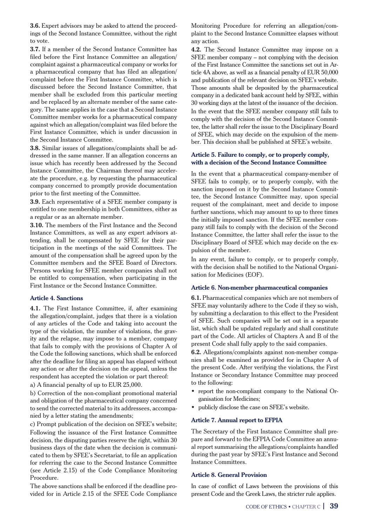**3.6.** Expert advisors may be asked to attend the proceedings of the Second Instance Committee, without the right to vote.

**3.7.** If a member of the Second Instance Committee has filed before the First Instance Committee an allegation/ complaint against a pharmaceutical company or works for a pharmaceutical company that has filed an allegation/ complaint before the First Instance Committee, which is discussed before the Second Instance Committee, that member shall be excluded from this particular meeting and be replaced by an alternate member of the same category. The same applies in the case that a Second Instance Committee member works for a pharmaceutical company against which an allegation/complaint was filed before the First Instance Committee, which is under discussion in the Second Instance Committee.

**3.8.** Similar issues of allegations/complaints shall be addressed in the same manner. If an allegation concerns an issue which has recently been addressed by the Second Instance Committee, the Chairman thereof may accelerate the procedure, e.g. by requesting the pharmaceutical company concerned to promptly provide documentation prior to the first meeting of the Committee.

**3.9.** Each representative of a SFEE member company is entitled to one membership in both Committees, either as a regular or as an alternate member.

**3.10.** The members of the First Instance and the Second Instance Committees, as well as any expert advisors attending, shall be compensated by SFEE for their participation in the meetings of the said Committees. The amount of the compensation shall be agreed upon by the Committee members and the SFEE Board of Directors. Persons working for SFEE member companies shall not be entitled to compensation, when participating in the First Instance or the Second Instance Committee.

#### **Article 4. Sanctions**

**4.1.** The First Instance Committee, if, after examining the allegation/complaint, judges that there is a violation of any articles of the Code and taking into account the type of the violation, the number of violations, the gravity and the relapse, may impose to a member, company that fails to comply with the provisions of Chapter A of the Code the following sanctions, which shall be enforced after the deadline for filing an appeal has elapsed without any action or after the decision on the appeal, unless the respondent has accepted the violation or part thereof:

a) A financial penalty of up to EUR 25,000.

b) Correction of the non-compliant promotional material and obligation of the pharmaceutical company concerned to send the corrected material to its addressees, accompanied by a letter stating the amendments;

c) Prompt publication of the decision on SFEE's website; Following the issuance of the First Instance Committee decision, the disputing parties reserve the right, within 30 business days of the date when the decision is communicated to them by SFEE's Secretariat, to file an application for referring the case to the Second Instance Committee (see Article 2.15) of the Code Compliance Monitoring Procedure.

The above sanctions shall be enforced if the deadline provided for in Article 2.15 of the SFEE Code Compliance Monitoring Procedure for referring an allegation/complaint to the Second Instance Committee elapses without any action.

**4.2.** The Second Instance Committee may impose on a SFEE member company – not complying with the decision of the First Instance Committee the sanctions set out in Article 4A above, as well as a financial penalty of EUR 50,000 and publication of the relevant decision on SFEE's website. Those amounts shall be deposited by the pharmaceutical company in a dedicated bank account held by SFEE, within 30 working days at the latest of the issuance of the decision. In the event that the SFEE member company still fails to comply with the decision of the Second Instance Committee, the latter shall refer the issue to the Disciplinary Board of SFEE, which may decide on the expulsion of the member. This decision shall be published at SFEE's website.

#### **Article 5. Failure to comply, or to properly comply, with a decision of the Second Instance Committee**

In the event that a pharmaceutical company-member of SFEE fails to comply, or to properly comply, with the sanction imposed on it by the Second Instance Committee, the Second Instance Committee may, upon special request of the complainant, meet and decide to impose further sanctions, which may amount to up to three times the initially imposed sanction. If the SFEE member company still fails to comply with the decision of the Second Instance Committee, the latter shall refer the issue to the Disciplinary Board of SFEE which may decide on the expulsion of the member.

In any event, failure to comply, or to properly comply. with the decision shall be notified to the National Organisation for Medicines (EOF).

#### **Article 6. Non-member pharmaceutical companies**

**6.1.** Pharmaceutical companies which are not members of SFEE may voluntarily adhere to the Code if they so wish, by submitting a declaration to this effect to the President of SFEE. Such companies will be set out in a separate list, which shall be updated regularly and shall constitute part of the Code. All articles of Chapters A and B of the present Code shall fully apply to the said companies.

**6.2.** Allegations/complaints against non-member companies shall be examined as provided for in Chapter A of the present Code. After verifying the violations, the First Instance or Secondary Instance Committee may proceed to the following:

- report the non-compliant company to the National Organisation for Medicines;
- Þ publicly disclose the case on SFEE's website.

#### **Article 7. Annual report to EFPIA**

The Secretary of the First Instance Committee shall prepare and forward to the EFPIA Code Committee an annual report summarising the allegations/complaints handled during the past year by SFEE's First Instance and Second Instance Committees.

#### **Article 8. General Provision**

In case of conflict of Laws between the provisions of this present Code and the Greek Laws, the stricter rule applies.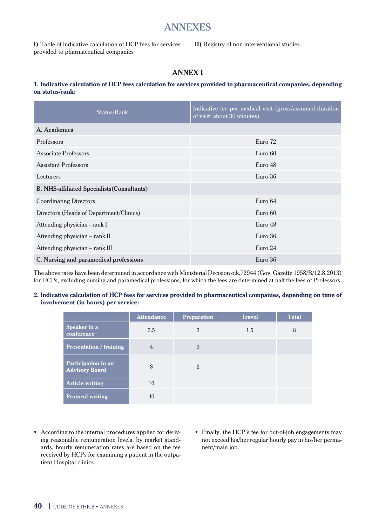## ANNEXES

**I)** Table of indicative calculation of HCP fees for services provided to pharmaceutical companies

**II)** Registry of non-interventional studies

## **ANNEX I**

#### **1. Indicative calculation of HCP fees calculation for services provided to pharmaceutical companies, depending on status/rank:**

| Status/Rank                                        | Indicative fee per medical visit (gross/assumed duration<br>of visit: about 30 minutes) |  |
|----------------------------------------------------|-----------------------------------------------------------------------------------------|--|
| A. Academics                                       |                                                                                         |  |
| Professors                                         | Euro 72                                                                                 |  |
| Associate Professors                               | Euro 60                                                                                 |  |
| <b>Assistant Professors</b>                        | Euro 48                                                                                 |  |
| Lecturers                                          | Euro 36                                                                                 |  |
| <b>B. NHS-affiliated Specialists (Consultants)</b> |                                                                                         |  |
| <b>Coordinating Directors</b>                      | Euro 64                                                                                 |  |
| Directors (Heads of Department/Clinics)            | Euro 60                                                                                 |  |
| Attending physician - rank I                       | Euro 48                                                                                 |  |
| Attending physician - rank II                      | Euro 36                                                                                 |  |
| Attending physician – rank III                     | Euro 24                                                                                 |  |
| C. Nursing and paramedical professions             | Euro 36                                                                                 |  |

The above rates have been determined in accordance with Ministerial Decision oik.72944 (Gov. Gazette 1958/B/12.8.2013) for HCPs, excluding nursing and paramedical professions, for which the fees are determined at half the fees of Professors.

#### **2. Indicative calculation of HCP fees for services provided to pharmaceutical companies, depending on time of involvement (in hours) per service:**

|                                              | <b>Attendance</b> | <b>Preparation</b> | <b>Travel</b> | <b>Total</b> |
|----------------------------------------------|-------------------|--------------------|---------------|--------------|
| Speaker in a<br>conference                   | 3.5               | 3                  | 1.5           | 8            |
| <b>Presentation / training</b>               | $\overline{4}$    | 3                  |               |              |
| Participation in an<br><b>Advisory Board</b> | 8                 | $\mathfrak{D}$     |               |              |
| <b>Article writing</b>                       | 10                |                    |               |              |
| <b>Protocol writing</b>                      | 40                |                    |               |              |

- Þ According to the internal procedures applied for deriving reasonable remuneration levels, by market standards, hourly remuneration rates are based on the fee received by HCPs for examining a patient in the outpatient Hospital clinics.
- Finally, the HCP's fee for out-of-job engagements may not exceed his/her regular hourly pay in his/her permanent/main job.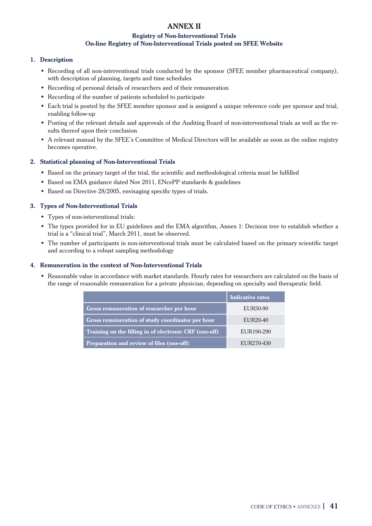## **ANNEX ΙΙ**

## **Registry of Non-Interventional Trials On-line Registry of Non-Interventional Trials posted on SFEE Website**

## **1. Description**

- Þ Recording of all non-interventional trials conducted by the sponsor (SFEE member pharmaceutical company), with description of planning, targets and time schedules
- Þ Recording of personal details of researchers and of their remuneration
- Recording of the number of patients scheduled to participate
- Þ Each trial is posted by the SFEE member sponsor and is assigned a unique reference code per sponsor and trial, enabling follow-up
- Þ Posting of the relevant details and approvals of the Auditing Board of non-interventional trials as well as the results thereof upon their conclusion
- Þ A relevant manual by the SFEE's Committee of Medical Directors will be available as soon as the online registry becomes operative.

## **2. Statistical planning of Non-Interventional Trials**

- Þ Based on the primary target of the trial, the scientific and methodological criteria must be fulfilled
- Based on EMA guidance dated Nov 2011, ENcePP standards & guidelines
- Þ Based on Directive 28/2005, envisaging specific types of trials.

## **3. Types of Non-Interventional Trials**

- Þ Types of non-interventional trials:
- Þ The types provided for in EU guidelines and the EMA algorithm, Annex 1: Decision tree to establish whether a trial is a "clinical trial", March 2011, must be observed.
- Þ The number of participants in non-interventional trials must be calculated based on the primary scientific target and according to a robust sampling methodology

## **4. Remuneration in the context of Non-Interventional Trials**

Þ Reasonable value in accordance with market standards. Hourly rates for researchers are calculated on the basis of the range of reasonable remuneration for a private physician, depending on specialty and therapeutic field.

|                                                        | Indicative rates |
|--------------------------------------------------------|------------------|
| Gross remuneration of researcher per hour              | EUR50-90         |
| Gross remuneration of study coordinator per hour       | EUR20-40         |
| Training on the filling in of electronic CRF (one-off) | EUR190-290       |
| Preparation and review of files (one-off)              | EUR270-430       |